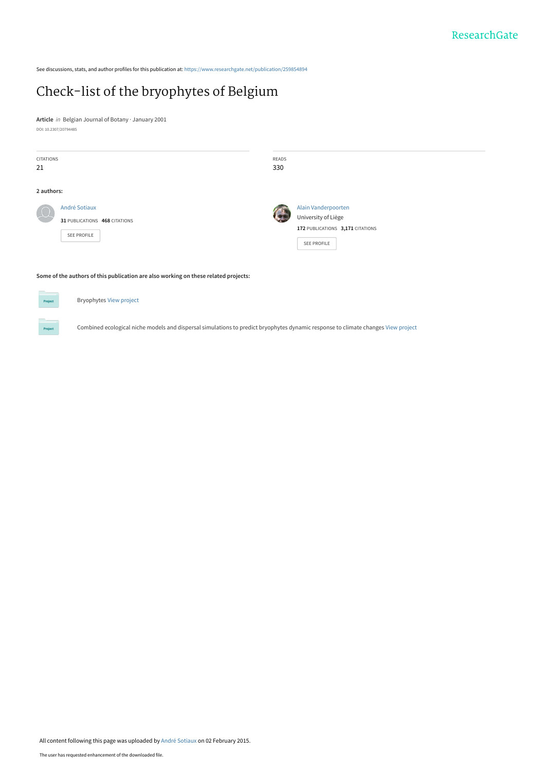See discussions, stats, and author profiles for this publication at: [https://www.researchgate.net/publication/259854894](https://www.researchgate.net/publication/259854894_Check-list_of_the_bryophytes_of_Belgium?enrichId=rgreq-786f08fa127298698947e42454f0cf15-XXX&enrichSource=Y292ZXJQYWdlOzI1OTg1NDg5NDtBUzoxOTI0ODU4MTQ3OTIxOTVAMTQyMjkwMzYwMjc0OQ%3D%3D&el=1_x_2&_esc=publicationCoverPdf)

# [Check-list of the bryophytes of Belgium](https://www.researchgate.net/publication/259854894_Check-list_of_the_bryophytes_of_Belgium?enrichId=rgreq-786f08fa127298698947e42454f0cf15-XXX&enrichSource=Y292ZXJQYWdlOzI1OTg1NDg5NDtBUzoxOTI0ODU4MTQ3OTIxOTVAMTQyMjkwMzYwMjc0OQ%3D%3D&el=1_x_3&_esc=publicationCoverPdf)

**Article** in Belgian Journal of Botany · January 2001 DOI: 10.2307/20794485

| <b>CITATIONS</b><br>21                                        | READS<br>330                                                                                  |
|---------------------------------------------------------------|-----------------------------------------------------------------------------------------------|
| 2 authors:                                                    |                                                                                               |
| André Sotiaux<br>31 PUBLICATIONS 468 CITATIONS<br>SEE PROFILE | Alain Vanderpoorten<br>University of Liège<br>172 PUBLICATIONS 3,171 CITATIONS<br>SEE PROFILE |

**Some of the authors of this publication are also working on these related projects:**

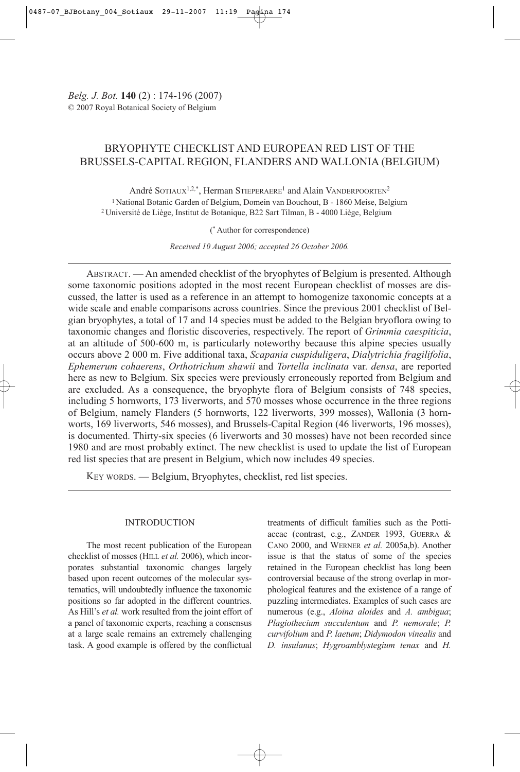# BRYOPHYTE CHECKLIST AND EUROPEAN RED LIST OF THE BRUSSELS-CAPITAL REGION, FLANDERS AND WALLONIA (BELGIUM)

André SOTIAUX<sup>1,2,\*</sup>, Herman STIEPERAERE<sup>1</sup> and Alain VANDERPOORTEN<sup>2</sup> <sup>1</sup> National Botanic Garden of Belgium, Domein van Bouchout, B - 1860 Meise, Belgium 2 Université de Liège, Institut de Botanique, B22 Sart Tilman, B - 4000 Liège, Belgium

(\* Author for correspondence)

*Received 10 August 2006; accepted 26 October 2006.*

ABSTRACT. — An amended checklist of the bryophytes of Belgium is presented. Although some taxonomic positions adopted in the most recent European checklist of mosses are discussed, the latter is used as a reference in an attempt to homogenize taxonomic concepts at a wide scale and enable comparisons across countries. Since the previous 2001 checklist of Belgian bryophytes, a total of 17 and 14 species must be added to the Belgian bryoflora owing to taxonomic changes and floristic discoveries, respectively. The report of *Grimmia caespiticia*, at an altitude of 500-600 m, is particularly noteworthy because this alpine species usually occurs above 2 000 m. Five additional taxa, *Scapania cuspiduligera*, *Dialytrichia fragilifolia*, *Ephemerum cohaerens*, *Orthotrichum shawii* and *Tortella inclinata* var. *densa*, are reported here as new to Belgium. Six species were previously erroneously reported from Belgium and are excluded. As a consequence, the bryophyte flora of Belgium consists of 748 species, including 5 hornworts, 173 liverworts, and 570 mosses whose occurrence in the three regions of Belgium, namely Flanders (5 hornworts, 122 liverworts, 399 mosses), Wallonia (3 hornworts, 169 liverworts, 546 mosses), and Brussels-Capital Region (46 liverworts, 196 mosses), is documented. Thirty-six species (6 liverworts and 30 mosses) have not been recorded since 1980 and are most probably extinct. The new checklist is used to update the list of European red list species that are present in Belgium, which now includes 49 species.

KEY WORDS. — Belgium, Bryophytes, checklist, red list species.

## INTRODUCTION

The most recent publication of the European checklist of mosses (HILL *et al.* 2006), which incorporates substantial taxonomic changes largely based upon recent outcomes of the molecular systematics, will undoubtedly influence the taxonomic positions so far adopted in the different countries. As Hill's *et al.* work resulted from the joint effort of a panel of taxonomic experts, reaching a consensus at a large scale remains an extremely challenging task. A good example is offered by the conflictual

treatments of difficult families such as the Pottiaceae (contrast, e.g., ZANDER 1993, GUERRA & CANO 2000, and WERNER *et al.* 2005a,b). Another issue is that the status of some of the species retained in the European checklist has long been controversial because of the strong overlap in morphological features and the existence of a range of puzzling intermediates. Examples of such cases are numerous (e.g., *Aloina aloides* and *A. ambigua*; *Plagiothecium succulentum* and *P. nemorale*; *P. curvifolium* and *P. laetum*; *Didymodon vinealis* and *D. insulanus*; *Hygroamblystegium tenax* and *H.*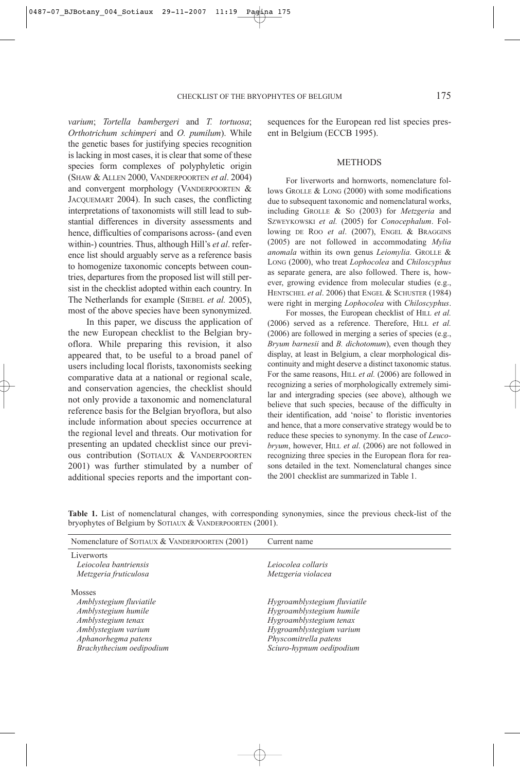*varium*; *Tortella bambergeri* and *T. tortuosa*; *Orthotrichum schimperi* and *O. pumilum*). While the genetic bases for justifying species recognition is lacking in most cases, it is clear that some of these species form complexes of polyphyletic origin (SHAW & ALLEN 2000, VANDERPOORTEN *et al*. 2004) and convergent morphology (VANDERPOORTEN & JACQUEMART 2004). In such cases, the conflicting interpretations of taxonomists will still lead to substantial differences in diversity assessments and hence, difficulties of comparisons across- (and even within-) countries. Thus, although Hill's *et al*. reference list should arguably serve as a reference basis to homogenize taxonomic concepts between countries, departures from the proposed list will still persist in the checklist adopted within each country. In The Netherlands for example (SIEBEL *et al.* 2005), most of the above species have been synonymized.

In this paper, we discuss the application of the new European checklist to the Belgian bryoflora. While preparing this revision, it also appeared that, to be useful to a broad panel of users including local florists, taxonomists seeking comparative data at a national or regional scale, and conservation agencies, the checklist should not only provide a taxonomic and nomenclatural reference basis for the Belgian bryoflora, but also include information about species occurrence at the regional level and threats. Our motivation for presenting an updated checklist since our previous contribution (SOTIAUX & VANDERPOORTEN 2001) was further stimulated by a number of additional species reports and the important consequences for the European red list species present in Belgium (ECCB 1995).

#### METHODS

For liverworts and hornworts, nomenclature follows GROLLE & LONG (2000) with some modifications due to subsequent taxonomic and nomenclatural works, including GROLLE & SO (2003) for *Metzgeria* and SZWEYKOWSKI *et al.* (2005) for *Conocephalum*. Following DE ROO *et al*. (2007), ENGEL & BRAGGINS (2005) are not followed in accommodating *Mylia anomala* within its own genus *Leiomylia.* GROLLE & LONG (2000), who treat *Lophocolea* and *Chiloscyphus* as separate genera, are also followed. There is, however, growing evidence from molecular studies (e.g., HENTSCHEL *et al.* 2006) that ENGEL & SCHUSTER (1984) were right in merging *Lophocolea* with *Chiloscyphus*.

For mosses, the European checklist of HILL *et al.* (2006) served as a reference. Therefore, HILL *et al.* (2006) are followed in merging a series of species (e.g., *Bryum barnesii* and *B. dichotomum*), even though they display, at least in Belgium, a clear morphological discontinuity and might deserve a distinct taxonomic status. For the same reasons, HILL *et al.* (2006) are followed in recognizing a series of morphologically extremely similar and intergrading species (see above), although we believe that such species, because of the difficulty in their identification, add 'noise' to floristic inventories and hence, that a more conservative strategy would be to reduce these species to synonymy. In the case of *Leucobryum*, however, HILL *et al*. (2006) are not followed in recognizing three species in the European flora for reasons detailed in the text. Nomenclatural changes since the 2001 checklist are summarized in Table 1.

**Table 1.** List of nomenclatural changes, with corresponding synonymies, since the previous check-list of the bryophytes of Belgium by SOTIAUX & VANDERPOORTEN (2001).

| Nomenclature of SOTIAUX & VANDERPOORTEN (2001)                                                                                                                  | Current name                                                                                                                                                         |
|-----------------------------------------------------------------------------------------------------------------------------------------------------------------|----------------------------------------------------------------------------------------------------------------------------------------------------------------------|
| Liverworts<br>Leiocolea bantriensis<br>Metzgeria fruticulosa                                                                                                    | Leiocolea collaris<br>Metzgeria violacea                                                                                                                             |
| <b>Mosses</b><br>Amblystegium fluviatile<br>Amblystegium humile<br>Amblystegium tenax<br>Amblystegium varium<br>Aphanorhegma patens<br>Brachythecium oedipodium | Hygroamblystegium fluviatile<br>Hygroamblystegium humile<br>Hygroamblystegium tenax<br>Hygroamblystegium varium<br>Physcomitrella patens<br>Sciuro-hypnum oedipodium |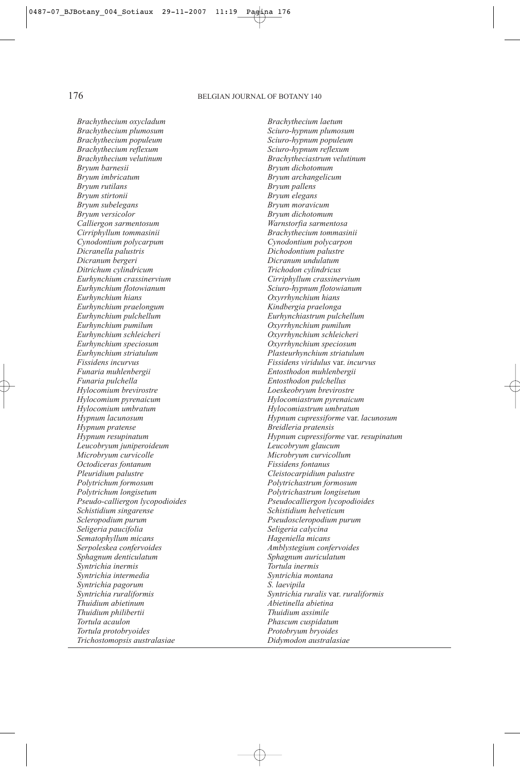# 176 BELGIAN JOURNAL OF BOTANY 140

*Brachythecium oxycladum Brachythecium laetum Brachythecium populeum<br>Brachythecium reflexum Brachythecium reflexum Sciuro-hypnum reflexum Brachythecium velutinum Brachytheciastrum velutinum Bryum barnesii Bryum dichotomum Bryum rutilans Bryum pallens Bryum stirtonii Bryum elegans Bryum subelegans Bryum moravicum Calliergon sarmentosum*<br>Cirriphyllum tommasinii *Cynodontium polycarpum Cynodontium polycarpon Dicranella palustris Dichodontium palustre Ditrichum cylindricum Trichodon cylindricus Eurhynchium crassinervium Cirriphyllum crassinervium Eurhynchium flotowianum Sciuro-hypnum flotowianum Eurhynchium praelongum Kindbergia praelonga Eurhynchium pulchellum Eurhynchiastrum pulchellum Eurhynchium pumilum Oxyrrhynchium pumilum Eurhynchium speciosum Oxyrrhynchium speciosum Eurhynchium striatulum Plasteurhynchium striatulum Funaria muhlenbergii Entosthodon muhlenbergii Funaria pulchella Entosthodon pulchellus Hylocomium pyrenaicum Hylocomiastrum pyrenaicum Hylocomium umbratum Hylocomiastrum umbratum Hypnum pratense Breidleria pratensis Leucobryum juniperoideum Leucobryum glaucum Octodiceras fontanum Fissidens fontanus Pleuridium palustre Cleistocarpidium palustre Polytrichum longisetum Polytrichastrum longisetum Pseudo-calliergon lycopodioides Pseudocalliergon lycopodioides Schistidium singarense Schistidium helveticum Scleropodium purum Pseudoscleropodium purum Seligeria paucifolia Seligeria calycina Sematophyllum micans Hageniella micans Serpoleskea confervoides Amblystegium confervoides Sphagnum denticulatum Sphagnum auriculatum Syntrichia inermis Tortula inermis Syntrichia intermedia Syntrichia montana* Syntrichia pagorum *Thuidium abietinum Abietinella abietina Thuidium philibertii Thuidium assimile Tortula acaulon Phascum cuspidatum Tortula protobryoides Protobryum bryoides Trichostomopsis australasiae Didymodon australasiae*

*Brachythecium plumosum Sciuro-hypnum plumosum Bryum archangelicum*<br>*Bryum pallens Bryum dichotomum<br>Warnstorfia sarmentosa Cirriphyllum tommasinii Brachythecium tommasinii Dicranum undulatum*<br>Trichodon cylindricus *Eurhynchium hians Oxyrrhynchium hians Eurhynchium schleicheri Oxyrrhynchium schleicheri Fissidens incurvus Fissidens viridulus* var. *incurvus Hylocomium brevirostre Loeskeobryum brevirostre Hypnum lacunosum Hypnum cupressiforme* var. *lacunosum Hypnum resupinatum Hypnum cupressiforme* var. *resupinatum Microbryum curvicolle Microbryum curvicollum Polytrichum formosum Polytrichastrum formosum Syntrichia ruraliformis Syntrichia ruralis* var. *ruraliformis*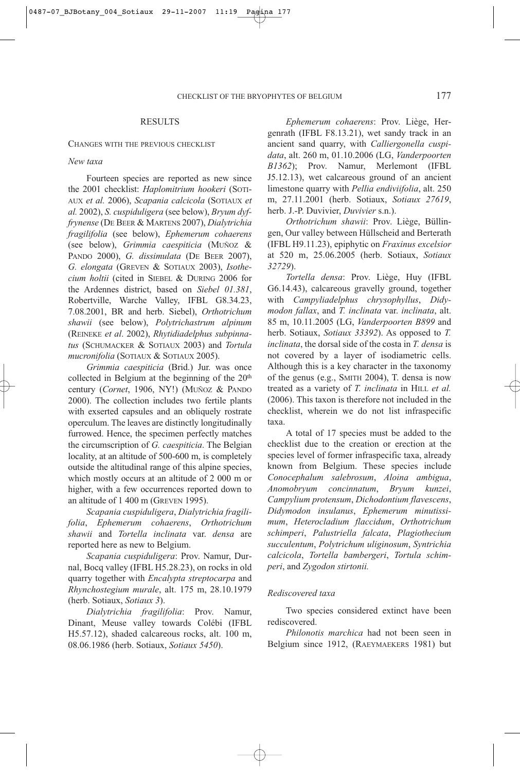## RESULTS

#### CHANGES WITH THE PREVIOUS CHECKLIST

#### *New taxa*

Fourteen species are reported as new since the 2001 checklist: *Haplomitrium hookeri* (SOTI-AUX *et al.* 2006), *Scapania calcicola* (SOTIAUX *et al.* 2002), *S. cuspiduligera* (see below), *Bryum dyffrynense* (DE BEER & MARTENS 2007), *Dialytrichia fragilifolia* (see below), *Ephemerum cohaerens* (see below), *Grimmia caespiticia* (MUÑOZ & PANDO 2000), *G. dissimulata* (DE BEER 2007), *G. elongata* (GREVEN & SOTIAUX 2003), *Isothecium holtii* (cited in SIEBEL & DURING 2006 for the Ardennes district, based on *Siebel 01.381*, Robertville, Warche Valley, IFBL G8.34.23, 7.08.2001, BR and herb. Siebel), *Orthotrichum shawii* (see below), *Polytrichastrum alpinum* (REINEKE *et al*. 2002), *Rhytidiadelphus subpinnatus* (SCHUMACKER & SOTIAUX 2003) and *Tortula mucronifolia* (SOTIAUX & SOTIAUX 2005).

*Grimmia caespiticia* (Brid.) Jur. was once collected in Belgium at the beginning of the 20<sup>th</sup> century (*Cornet*, 1906, NY!) (MUÑOZ & PANDO 2000). The collection includes two fertile plants with exserted capsules and an obliquely rostrate operculum. The leaves are distinctly longitudinally furrowed. Hence, the specimen perfectly matches the circumscription of *G. caespiticia*. The Belgian locality, at an altitude of 500-600 m, is completely outside the altitudinal range of this alpine species, which mostly occurs at an altitude of 2 000 m or higher, with a few occurrences reported down to an altitude of 1 400 m (GREVEN 1995).

*Scapania cuspiduligera*, *Dialytrichia fragilifolia*, *Ephemerum cohaerens*, *Orthotrichum shawii* and *Tortella inclinata* var. *densa* are reported here as new to Belgium.

*Scapania cuspiduligera*: Prov. Namur, Durnal, Bocq valley (IFBL H5.28.23), on rocks in old quarry together with *Encalypta streptocarpa* and *Rhynchostegium murale*, alt. 175 m, 28.10.1979 (herb. Sotiaux, *Sotiaux 3*).

*Dialytrichia fragilifolia*: Prov. Namur, Dinant, Meuse valley towards Colébi (IFBL H5.57.12), shaded calcareous rocks, alt. 100 m, 08.06.1986 (herb. Sotiaux, *Sotiaux 5450*).

*Ephemerum cohaerens*: Prov. Liège, Hergenrath (IFBL F8.13.21), wet sandy track in an ancient sand quarry, with *Calliergonella cuspidata*, alt. 260 m, 01.10.2006 (LG, *Vanderpoorten B1362*); Prov. Namur, Merlemont (IFBL J5.12.13), wet calcareous ground of an ancient limestone quarry with *Pellia endiviifolia*, alt. 250 m, 27.11.2001 (herb. Sotiaux, *Sotiaux 27619*, herb. J.-P. Duvivier, *Duvivier* s.n.).

*Orthotrichum shawii*: Prov. Liège, Büllingen, Our valley between Hüllscheid and Berterath (IFBL H9.11.23), epiphytic on *Fraxinus excelsior* at 520 m, 25.06.2005 (herb. Sotiaux, *Sotiaux 32729*).

*Tortella densa*: Prov. Liège, Huy (IFBL G6.14.43), calcareous gravelly ground, together with *Campyliadelphus chrysophyllus*, *Didymodon fallax*, and *T. inclinata* var. *inclinata*, alt. 85 m, 10.11.2005 (LG, *Vanderpoorten B899* and herb. Sotiaux, *Sotiaux 33392*). As opposed to *T. inclinata*, the dorsal side of the costa in *T. densa* is not covered by a layer of isodiametric cells. Although this is a key character in the taxonomy of the genus (e.g., SMITH 2004), T. densa is now treated as a variety of *T. inclinata* in HILL *et al.* (2006). This taxon is therefore not included in the checklist, wherein we do not list infraspecific taxa.

A total of 17 species must be added to the checklist due to the creation or erection at the species level of former infraspecific taxa, already known from Belgium. These species include *Conocephalum salebrosum*, *Aloina ambigua*, *Anomobryum concinnatum*, *Bryum kunzei*, *Campylium protensum*, *Dichodontium flavescens*, *Didymodon insulanus*, *Ephemerum minutissimum*, *Heterocladium flaccidum*, *Orthotrichum schimperi*, *Palustriella falcata*, *Plagiothecium succulentum*, *Polytrichum uliginosum*, *Syntrichia calcicola*, *Tortella bambergeri*, *Tortula schimperi*, and *Zygodon stirtonii.*

## *Rediscovered taxa*

Two species considered extinct have been rediscovered.

*Philonotis marchica* had not been seen in Belgium since 1912, (RAEYMAEKERS 1981) but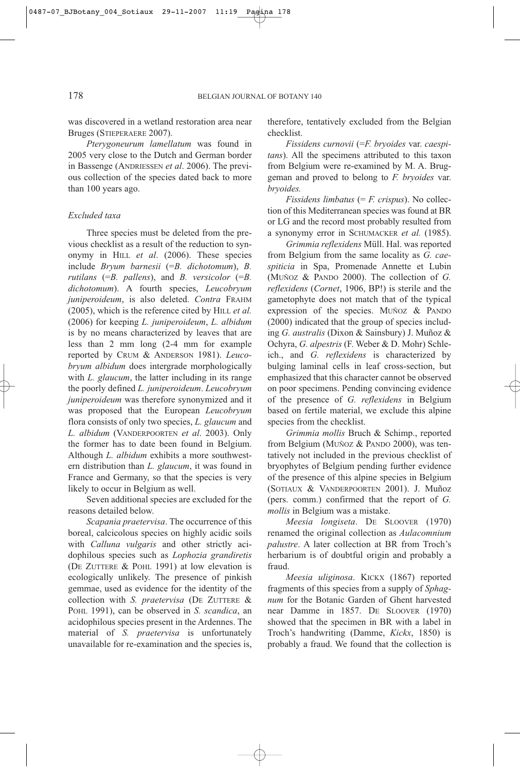was discovered in a wetland restoration area near Bruges (STIEPERAERE 2007).

*Pterygoneurum lamellatum* was found in 2005 very close to the Dutch and German border in Bassenge (ANDRIESSEN *et al*. 2006). The previous collection of the species dated back to more than 100 years ago.

# *Excluded taxa*

Three species must be deleted from the previous checklist as a result of the reduction to synonymy in HILL *et al*. (2006). These species include *Bryum barnesii* (=*B. dichotomum*), *B. rutilans* (=*B. pallens*), and *B. versicolor* (=*B. dichotomum*). A fourth species, *Leucobryum juniperoideum*, is also deleted. *Contra* FRAHM (2005), which is the reference cited by HILL *et al.* (2006) for keeping *L. juniperoideum*, *L. albidum* is by no means characterized by leaves that are less than 2 mm long (2-4 mm for example reported by CRUM & ANDERSON 1981). *Leucobryum albidum* does intergrade morphologically with *L. glaucum*, the latter including in its range the poorly defined *L. juniperoideum*. *Leucobryum juniperoideum* was therefore synonymized and it was proposed that the European *Leucobryum* flora consists of only two species, *L. glaucum* and *L. albidum* (VANDERPOORTEN *et al*. 2003). Only the former has to date been found in Belgium. Although *L. albidum* exhibits a more southwestern distribution than *L. glaucum*, it was found in France and Germany, so that the species is very likely to occur in Belgium as well.

Seven additional species are excluded for the reasons detailed below.

*Scapania praetervisa*. The occurrence of this boreal, calcicolous species on highly acidic soils with *Calluna vulgaris* and other strictly acidophilous species such as *Lophozia grandiretis* (DE ZUTTERE & POHL 1991) at low elevation is ecologically unlikely. The presence of pinkish gemmae, used as evidence for the identity of the collection with *S. praetervisa* (DE ZUTTERE & POHL 1991), can be observed in *S. scandica*, an acidophilous species present in the Ardennes. The material of *S. praetervisa* is unfortunately unavailable for re-examination and the species is,

therefore, tentatively excluded from the Belgian checklist.

*Fissidens curnovii* (=*F. bryoides* var. *caespitans*). All the specimens attributed to this taxon from Belgium were re-examined by M. A. Bruggeman and proved to belong to *F. bryoides* var. *bryoides.*

*Fissidens limbatus* (= *F. crispus*). No collection of this Mediterranean species was found at BR or LG and the record most probably resulted from a synonymy error in SCHUMACKER *et al.* (1985).

*Grimmia reflexidens* Müll. Hal. was reported from Belgium from the same locality as *G. caespiticia* in Spa, Promenade Annette et Lubin (MUÑOZ & PANDO 2000). The collection of *G. reflexidens* (*Cornet*, 1906, BP!) is sterile and the gametophyte does not match that of the typical expression of the species. MUÑOZ & PANDO (2000) indicated that the group of species including *G. australis* (Dixon & Sainsbury) J. Muñoz & Ochyra, *G. alpestris* (F. Weber & D. Mohr) Schleich., and *G. reflexidens* is characterized by bulging laminal cells in leaf cross-section, but emphasized that this character cannot be observed on poor specimens. Pending convincing evidence of the presence of *G. reflexidens* in Belgium based on fertile material, we exclude this alpine species from the checklist.

*Grimmia mollis* Bruch & Schimp., reported from Belgium (MUÑOZ & PANDO 2000), was tentatively not included in the previous checklist of bryophytes of Belgium pending further evidence of the presence of this alpine species in Belgium (SOTIAUX & VANDERPOORTEN 2001). J. Muñoz (pers. comm.) confirmed that the report of *G. mollis* in Belgium was a mistake.

*Meesia longiseta*. DE SLOOVER (1970) renamed the original collection as *Aulacomnium palustre*. A later collection at BR from Troch's herbarium is of doubtful origin and probably a fraud.

*Meesia uliginosa*. KICKX (1867) reported fragments of this species from a supply of *Sphagnum* for the Botanic Garden of Ghent harvested near Damme in 1857. DE SLOOVER (1970) showed that the specimen in BR with a label in Troch's handwriting (Damme, *Kickx*, 1850) is probably a fraud. We found that the collection is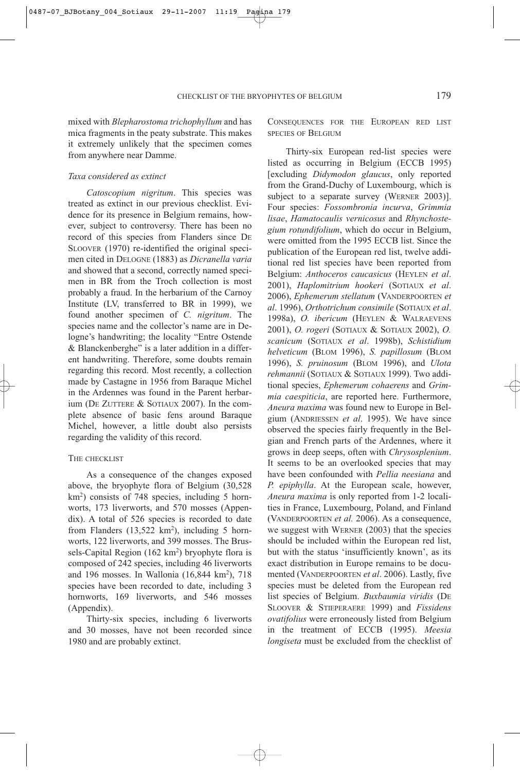mixed with *Blepharostoma trichophyllum* and has mica fragments in the peaty substrate. This makes it extremely unlikely that the specimen comes from anywhere near Damme.

#### *Taxa considered as extinct*

*Catoscopium nigritum*. This species was treated as extinct in our previous checklist. Evidence for its presence in Belgium remains, however, subject to controversy. There has been no record of this species from Flanders since DE SLOOVER (1970) re-identified the original specimen cited in DELOGNE (1883) as *Dicranella varia* and showed that a second, correctly named specimen in BR from the Troch collection is most probably a fraud. In the herbarium of the Carnoy Institute (LV, transferred to BR in 1999), we found another specimen of *C. nigritum*. The species name and the collector's name are in Delogne's handwriting; the locality "Entre Ostende & Blanckenberghe" is a later addition in a different handwriting. Therefore, some doubts remain regarding this record. Most recently, a collection made by Castagne in 1956 from Baraque Michel in the Ardennes was found in the Parent herbarium (DE ZUTTERE & SOTIAUX 2007). In the complete absence of basic fens around Baraque Michel, however, a little doubt also persists regarding the validity of this record.

### THE CHECKLIST

As a consequence of the changes exposed above, the bryophyte flora of Belgium (30,528 km2 ) consists of 748 species, including 5 hornworts, 173 liverworts, and 570 mosses (Appendix). A total of 526 species is recorded to date from Flanders  $(13,522 \text{ km}^2)$ , including 5 hornworts, 122 liverworts, and 399 mosses. The Brussels-Capital Region (162 km<sup>2</sup>) bryophyte flora is composed of 242 species, including 46 liverworts and 196 mosses. In Wallonia (16,844 km<sup>2</sup>), 718 species have been recorded to date, including 3 hornworts, 169 liverworts, and 546 mosses (Appendix).

Thirty-six species, including 6 liverworts and 30 mosses, have not been recorded since 1980 and are probably extinct.

CONSEQUENCES FOR THE EUROPEAN RED LIST SPECIES OF BELGIUM

Thirty-six European red-list species were listed as occurring in Belgium (ECCB 1995) [excluding *Didymodon glaucus*, only reported from the Grand-Duchy of Luxembourg, which is subject to a separate survey (WERNER 2003)]. Four species: *Fossombronia incurva*, *Grimmia lisae*, *Hamatocaulis vernicosus* and *Rhynchostegium rotundifolium*, which do occur in Belgium, were omitted from the 1995 ECCB list. Since the publication of the European red list, twelve additional red list species have been reported from Belgium: *Anthoceros caucasicus* (HEYLEN *et al*. 2001), *Haplomitrium hookeri* (SOTIAUX *et al*. 2006), *Ephemerum stellatum* (VANDERPOORTEN *et al*. 1996), *Orthotrichum consimile* (SOTIAUX *et al*. 1998a), *O. ibericum* (HEYLEN & WALRAEVENS 2001), *O. rogeri* (SOTIAUX & SOTIAUX 2002), *O. scanicum* (SOTIAUX *et al*. 1998b), *Schistidium helveticum* (BLOM 1996), *S. papillosum* (BLOM 1996), *S. pruinosum* (BLOM 1996), and *Ulota rehmannii* (SOTIAUX & SOTIAUX 1999). Two additional species, *Ephemerum cohaerens* and *Grimmia caespiticia*, are reported here. Furthermore, *Aneura maxima* was found new to Europe in Belgium (ANDRIESSEN *et al*. 1995). We have since observed the species fairly frequently in the Belgian and French parts of the Ardennes, where it grows in deep seeps, often with *Chrysosplenium*. It seems to be an overlooked species that may have been confounded with *Pellia neesiana* and *P. epiphylla*. At the European scale, however, *Aneura maxima* is only reported from 1-2 localities in France, Luxembourg, Poland, and Finland (VANDERPOORTEN *et al.* 2006). As a consequence, we suggest with WERNER (2003) that the species should be included within the European red list, but with the status 'insufficiently known', as its exact distribution in Europe remains to be documented (VANDERPOORTEN *et al*. 2006). Lastly, five species must be deleted from the European red list species of Belgium. *Buxbaumia viridis* (DE SLOOVER & STIEPERAERE 1999) and *Fissidens ovatifolius* were erroneously listed from Belgium in the treatment of ECCB (1995). *Meesia longiseta* must be excluded from the checklist of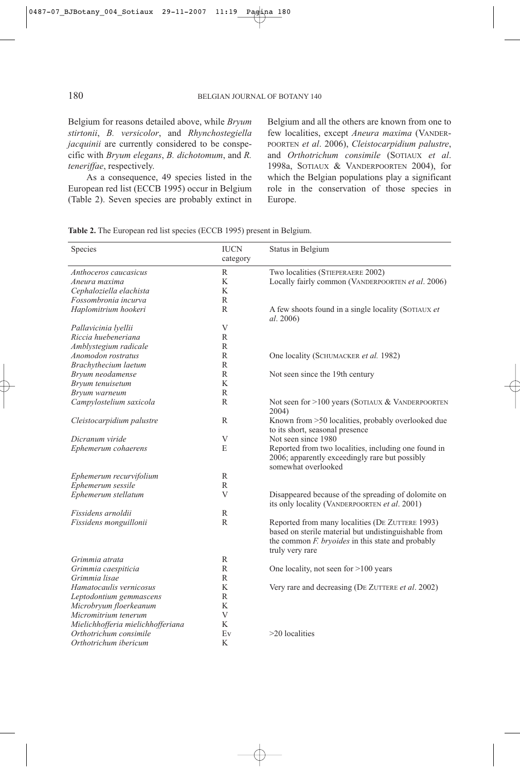Belgium for reasons detailed above, while *Bryum stirtonii*, *B. versicolor*, and *Rhynchostegiella jacquinii* are currently considered to be conspecific with *Bryum elegans*, *B. dichotomum*, and *R. teneriffae*, respectively.

As a consequence, 49 species listed in the European red list (ECCB 1995) occur in Belgium (Table 2). Seven species are probably extinct in Belgium and all the others are known from one to few localities, except *Aneura maxima* (VANDER-POORTEN *et al*. 2006), *Cleistocarpidium palustre*, and *Orthotrichum consimile* (SOTIAUX *et al*. 1998a, SOTIAUX & VANDERPOORTEN 2004), for which the Belgian populations play a significant role in the conservation of those species in Europe.

| Table 2. The European red list species (ECCB 1995) present in Belgium. |
|------------------------------------------------------------------------|
|------------------------------------------------------------------------|

| Species                           | <b>IUCN</b><br>category | Status in Belgium                                                                                                                                                               |
|-----------------------------------|-------------------------|---------------------------------------------------------------------------------------------------------------------------------------------------------------------------------|
| Anthoceros caucasicus             | R                       | Two localities (STIEPERAERE 2002)                                                                                                                                               |
| Aneura maxima                     | K                       | Locally fairly common (VANDERPOORTEN et al. 2006)                                                                                                                               |
| Cephaloziella elachista           | K                       |                                                                                                                                                                                 |
| Fossombronia incurva              | R                       |                                                                                                                                                                                 |
| Haplomitrium hookeri              | R                       | A few shoots found in a single locality (SOTIAUX et<br><i>al.</i> 2006)                                                                                                         |
| Pallavicinia lyellii              | V                       |                                                                                                                                                                                 |
| Riccia huebeneriana               | $\mathbb{R}$            |                                                                                                                                                                                 |
| Amblystegium radicale             | R                       |                                                                                                                                                                                 |
| Anomodon rostratus                | R                       | One locality (SCHUMACKER et al. 1982)                                                                                                                                           |
| Brachythecium laetum              | R                       |                                                                                                                                                                                 |
| Bryum neodamense                  | $\mathbb{R}$            | Not seen since the 19th century                                                                                                                                                 |
| Bryum tenuisetum                  | K                       |                                                                                                                                                                                 |
| Bryum warneum                     | R                       |                                                                                                                                                                                 |
| Campylostelium saxicola           | $\mathbb{R}$            | Not seen for >100 years (SOTIAUX & VANDERPOORTEN<br>2004)                                                                                                                       |
| Cleistocarpidium palustre         | R                       | Known from >50 localities, probably overlooked due<br>to its short, seasonal presence                                                                                           |
| Dicranum viride                   | V                       | Not seen since 1980                                                                                                                                                             |
| Ephemerum cohaerens               | E                       | Reported from two localities, including one found in<br>2006; apparently exceedingly rare but possibly<br>somewhat overlooked                                                   |
| Ephemerum recurvifolium           | R                       |                                                                                                                                                                                 |
| Ephemerum sessile                 | $\mathbb{R}$            |                                                                                                                                                                                 |
| Ephemerum stellatum               | V                       | Disappeared because of the spreading of dolomite on<br>its only locality (VANDERPOORTEN et al. 2001)                                                                            |
| Fissidens arnoldii                | R                       |                                                                                                                                                                                 |
| Fissidens monguillonii            | R                       | Reported from many localities (DE ZUTTERE 1993)<br>based on sterile material but undistinguishable from<br>the common F. bryoides in this state and probably<br>truly very rare |
| Grimmia atrata                    | R                       |                                                                                                                                                                                 |
| Grimmia caespiticia               | R                       | One locality, not seen for >100 years                                                                                                                                           |
| Grimmia lisae                     | R                       |                                                                                                                                                                                 |
| Hamatocaulis vernicosus           | K                       | Very rare and decreasing (DE ZUTTERE et al. 2002)                                                                                                                               |
| Leptodontium gemmascens           | $\mathbb{R}$            |                                                                                                                                                                                 |
| Microbryum floerkeanum            | K                       |                                                                                                                                                                                 |
| Micromitrium tenerum              | V                       |                                                                                                                                                                                 |
| Mielichhofferia mielichhofferiana | K                       |                                                                                                                                                                                 |
| Orthotrichum consimile            | Ev                      | $>20$ localities                                                                                                                                                                |
| Orthotrichum ibericum             | K                       |                                                                                                                                                                                 |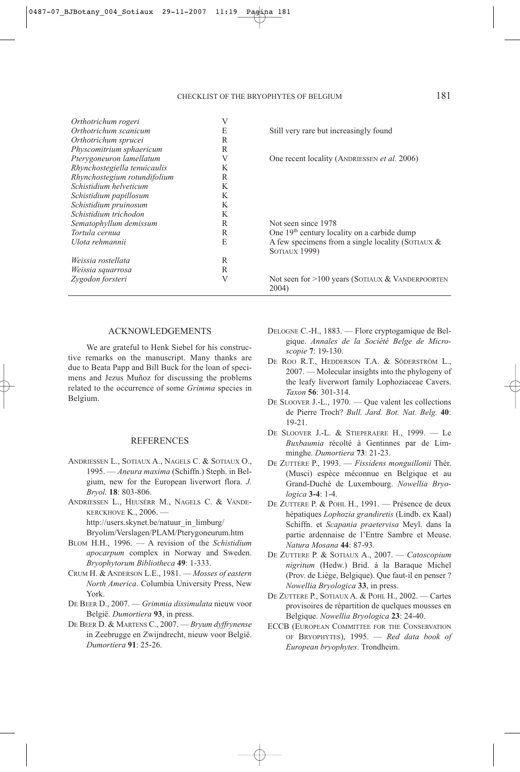| Orthotrichum rogeri          | V |                                                             |
|------------------------------|---|-------------------------------------------------------------|
| Orthotrichum scanicum        | E | Still very rare but increasingly found                      |
| Orthotrichum sprucei         | R |                                                             |
| Physcomitrium sphaericum     | R |                                                             |
| Pterygoneuron lamellatum     | V | One recent locality (ANDRIESSEN <i>et al.</i> 2006)         |
| Rhynchostegiella tenuicaulis | K |                                                             |
| Rhynchostegium rotundifolium | R |                                                             |
| Schistidium helveticum       | K |                                                             |
| Schistidium papillosum       | K |                                                             |
| Schistidium pruinosum        | K |                                                             |
| Schistidium trichodon        | K |                                                             |
| Sematophyllum demissum       | R | Not seen since 1978                                         |
| Tortula cernua               | R | One 19 <sup>th</sup> century locality on a carbide dump     |
| Ulota rehmannii              | E | A few specimens from a single locality (SOTIAUX $&$         |
|                              |   | <b>SOTIAUX 1999)</b>                                        |
| Weissia rostellata           | R |                                                             |
| Weissia squarrosa            | R |                                                             |
| Zygodon forsteri             | V | Not seen for $>100$ years (SOTIAUX & VANDERPOORTEN<br>2004) |

#### ACKNOWLEDGEMENTS

We are grateful to Henk Siebel for his constructive remarks on the manuscript. Many thanks are due to Beata Papp and Bill Buck for the loan of specimens and Jezus Muñoz for discussing the problems related to the occurrence of some *Grimma* species in Belgium.

#### REFERENCES

- ANDRIESSEN L., SOTIAUX A., NAGELS C. & SOTIAUX O., 1995. — *Aneura maxima* (Schiffn.) Steph. in Belgium, new for the European liverwort flora. *J. Bryol.* **18**: 803-806.
- ANDRIESSEN L., HEUSÈRR M., NAGELS C. & VANDE-KERCKHOVE K., 2006. http://users.skynet.be/natuur\_in\_limburg/

Bryolim/Verslagen/PLAM/Pterygoneurum.htm

- BLOM H.H., 1996. A revision of the *Schistidium apocarpum* complex in Norway and Sweden. *Bryophytorum Bibliotheca* **49**: 1-333.
- CRUM H. & ANDERSON L.E., 1981. *Mosses of eastern North America*. Columbia University Press, New York.
- DE BEER D., 2007. *Grimmia dissimulata* nieuw voor België. *Dumortiera* **93**, in press.
- DE BEER D. & MARTENS C., 2007. *Bryum dyffrynense* in Zeebrugge en Zwijndrecht, nieuw voor België. *Dumortiera* **91**: 25-26.
- DELOGNE C.-H., 1883. Flore cryptogamique de Belgique. *Annales de la Société Belge de Microscopie* **7**: 19-130.
- DE ROO R.T., HEDDERSON T.A. & SÖDERSTRÖM L., 2007. — Molecular insights into the phylogeny of the leafy liverwort family Lophoziaceae Cavers. *Taxon* **56**: 301-314.
- DE SLOOVER J.-L., 1970. Que valent les collections de Pierre Troch? *Bull. Jard. Bot. Nat. Belg.* **40**: 19-21.
- DE SLOOVER J.-L. & STIEPERAERE H., 1999. Le *Buxbaumia* récolté à Gentinnes par de Limminghe. *Dumortiera* **73**: 21-23.
- DE ZUTTERE P., 1993. *Fissidens monguillonii* Thér. (Musci) espèce méconnue en Belgique et au Grand-Duché de Luxembourg. *Nowellia Bryologica* **3-4**: 1-4.
- DE ZUTTERE P. & POHL H., 1991. Présence de deux hépatiques *Lophozia grandiretis* (Lindb. ex Kaal) Schiffn. et *Scapania praetervisa* Meyl. dans la partie ardennaise de l'Entre Sambre et Meuse. *Natura Mosana* **44**: 87-93.
- DE ZUTTERE P. & SOTIAUX A., 2007. *Catoscopium nigritum* (Hedw.) Brid. à la Baraque Michel (Prov. de Liège, Belgique). Que faut-il en penser ? *Nowellia Bryologica* **33**, in press.
- DE ZUTTERE P., SOTIAUX A. & POHL H., 2002. Cartes provisoires de répartition de quelques mousses en Belgique. *Nowellia Bryologica* **23**: 24-40.
- ECCB (EUROPEAN COMMITTEE FOR THE CONSERVATION OF BRYOPHYTES), 1995. — *Red data book of European bryophytes*. Trondheim.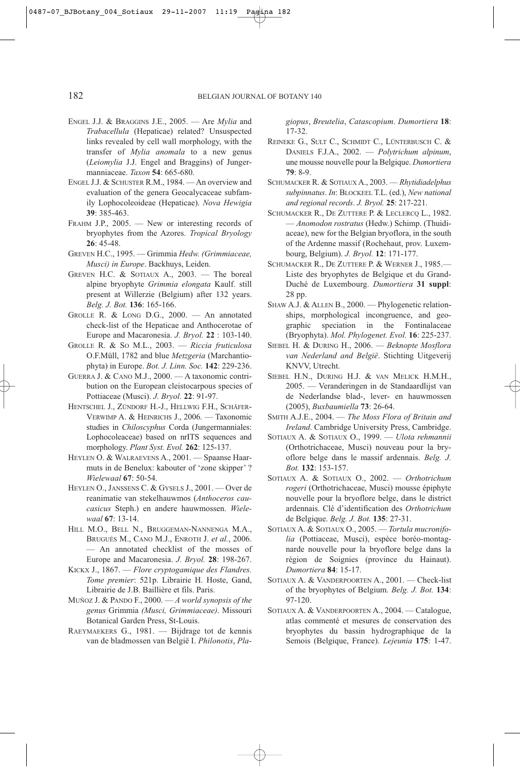- ENGEL J.J. & BRAGGINS J.E., 2005. Are *Mylia* and *Trabacellula* (Hepaticae) related? Unsuspected links revealed by cell wall morphology, with the transfer of *Mylia anomala* to a new genus (*Leiomylia* J.J. Engel and Braggins) of Jungermanniaceae. *Taxon* **54**: 665-680.
- ENGEL J.J. & SCHUSTER R.M., 1984. An overview and evaluation of the genera Geocalycaceae subfamily Lophocoleoideae (Hepaticae). *Nova Hewigia* **39**: 385-463.
- FRAHM J.P., 2005. New or interesting records of bryophytes from the Azores. *Tropical Bryology* **26**: 45-48.
- GREVEN H.C., 1995. Grimmia *Hedw. (Grimmiaceae, Musci) in Europe*. Backhuys, Leiden.
- GREVEN H.C. & SOTIAUX A., 2003. The boreal alpine bryophyte *Grimmia elongata* Kaulf. still present at Willerzie (Belgium) after 132 years. *Belg. J. Bot.* **136**: 165-166.
- GROLLE R. & LONG D.G., 2000. An annotated check-list of the Hepaticae and Anthocerotae of Europe and Macaronesia. *J. Bryol.* **22** : 103-140.
- GROLLE R. & SO M.L., 2003. *Riccia fruticulosa* O.F.Müll, 1782 and blue *Metzgeria* (Marchantiophyta) in Europe. *Bot. J. Linn. Soc.* **142**: 229-236.
- GUERRA J. & CANO M.J., 2000. A taxonomic contribution on the European cleistocarpous species of Pottiaceae (Musci). *J. Bryol.* **22**: 91-97.
- HENTSCHEL J., ZÜNDORF H.-J., HELLWIG F.H., SCHÄFER-VERWIMP A. & HEINRICHS J., 2006. — Taxonomic studies in *Chiloscyphus* Corda (Jungermanniales: Lophocoleaceae) based on nrITS sequences and morphology. *Plant Syst. Evol.* **262**: 125-137.
- HEYLEN O. & WALRAEVENS A., 2001. Spaanse Haarmuts in de Benelux: kabouter of 'zone skipper' ? *Wielewaal* **67**: 50-54.
- HEYLEN O., JANSSENS C. & GYSELS J., 2001. Over de reanimatie van stekelhauwmos (*Anthoceros caucasicus* Steph.) en andere hauwmossen. *Wielewaal* **67**: 13-14.
- HILL M.O., BELL N., BRUGGEMAN-NANNENGA M.A., BRUGUÉS M., CANO M.J., ENROTH J. *et al.*, 2006. — An annotated checklist of the mosses of Europe and Macaronesia. *J. Bryol.* **28**: 198-267.
- KICKX J., 1867. *Flore cryptogamique des Flandres. Tome premier*: 521p. Librairie H. Hoste, Gand, Librairie de J.B. Baillière et fils. Paris.
- MUÑOZ J. & PANDO F., 2000. *A world synopsis of the genus* Grimmia *(Musci, Grimmiaceae)*. Missouri Botanical Garden Press, St-Louis.
- RAEYMAEKERS G., 1981. Bijdrage tot de kennis van de bladmossen van België I. *Philonotis*, *Pla-*

*giopus*, *Breutelia*, *Catascopium*. *Dumortiera* **18**: 17-32.

- REINEKE G., SULT C., SCHMIDT C., LÜNTERBUSCH C. & DANIELS F.J.A., 2002. — *Polytrichum alpinum*, une mousse nouvelle pour la Belgique. *Dumortiera* **79**: 8-9.
- SCHUMACKER R. & SOTIAUX A., 2003. *Rhytidiadelphus subpinnatus*. *In*: BLOCKEEL T.L. (ed.), *New national and regional records*. *J. Bryol.* **25**: 217-221.
- SCHUMACKER R., DE ZUTTERE P. & LECLERCQ L., 1982. — *Anomodon rostratus* (Hedw.) Schimp. (Thuidiaceae), new for the Belgian bryoflora, in the south of the Ardenne massif (Rochehaut, prov. Luxembourg, Belgium). *J. Bryol.* **12**: 171-177.
- SCHUMACKER R., DE ZUTTERE P. & WERNER J., 1985. Liste des bryophytes de Belgique et du Grand-Duché de Luxembourg. *Dumortiera* **31 suppl**: 28 pp.
- SHAW A.J. & ALLEN B., 2000. Phylogenetic relationships, morphological incongruence, and geographic speciation in the Fontinalaceae (Bryophyta). *Mol. Phylogenet. Evol.* **16**: 225-237.
- SIEBEL H. & DURING H., 2006. *Beknopte Mosflora van Nederland and België*. Stichting Uitgeverij KNVV, Utrecht.
- SIEBEL H.N., DURING H.J. & VAN MELICK H.M.H., 2005. — Veranderingen in de Standaardlijst van de Nederlandse blad-, lever- en hauwmossen (2005), *Buxbaumiella* **73**: 26-64.
- SMITH A.J.E., 2004. *The Moss Flora of Britain and Ireland*. Cambridge University Press, Cambridge.
- SOTIAUX A. & SOTIAUX O., 1999. *Ulota rehmannii* (Orthotrichaceae, Musci) nouveau pour la bryoflore belge dans le massif ardennais. *Belg. J. Bot.* **132**: 153-157.
- SOTIAUX A. & SOTIAUX O., 2002. *Orthotrichum rogeri* (Orthotrichaceae, Musci) mousse épiphyte nouvelle pour la bryoflore belge, dans le district ardennais. Clé d'identification des *Orthotrichum* de Belgique. *Belg. J. Bot.* **135**: 27-31.
- SOTIAUX A. & SOTIAUX O., 2005. *Tortula mucronifolia* (Pottiaceae, Musci), espèce boréo-montagnarde nouvelle pour la bryoflore belge dans la région de Soignies (province du Hainaut). *Dumortiera* **84**: 15-17.
- SOTIAUX A. & VANDERPOORTEN A., 2001. Check-list of the bryophytes of Belgium. *Belg. J. Bot.* **134**: 97-120.
- SOTIAUX A. & VANDERPOORTEN A., 2004. Catalogue, atlas commenté et mesures de conservation des bryophytes du bassin hydrographique de la Semois (Belgique, France). *Lejeunia* **175**: 1-47.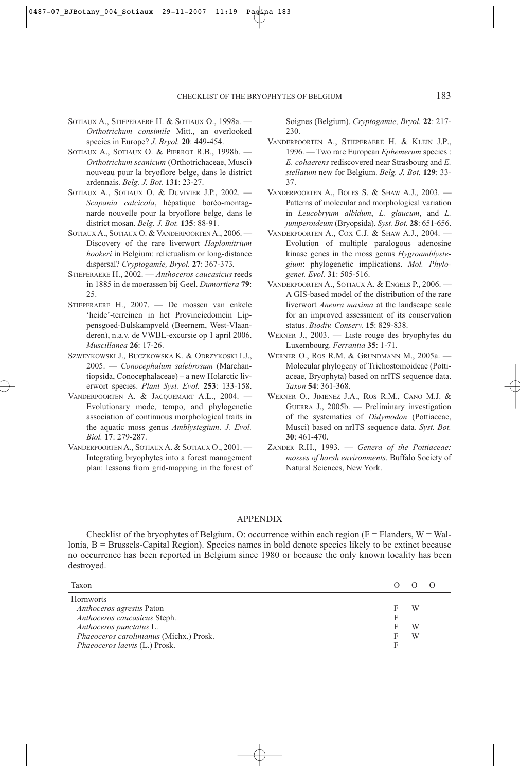- SOTIAUX A., STIEPERAERE H. & SOTIAUX O., 1998a. *Orthotrichum consimile* Mitt., an overlooked species in Europe? *J. Bryol.* **20**: 449-454.
- SOTIAUX A., SOTIAUX O. & PIERROT R.B., 1998b. -*Orthotrichum scanicum* (Orthotrichaceae, Musci) nouveau pour la bryoflore belge, dans le district ardennais. *Belg. J. Bot.* **131**: 23-27.
- SOTIAUX A., SOTIAUX O. & DUVIVIER J.P., 2002. -*Scapania calcicola*, hépatique boréo-montagnarde nouvelle pour la bryoflore belge, dans le district mosan. *Belg. J. Bot.* **135**: 88-91.
- SOTIAUX A., SOTIAUX O. & VANDERPOORTEN A., 2006. -Discovery of the rare liverwort *Haplomitrium hookeri* in Belgium: relictualism or long-distance dispersal? *Cryptogamie, Bryol.* **27**: 367-373*.*

STIEPERAERE H., 2002. — *Anthoceros caucasicus* reeds in 1885 in de moerassen bij Geel. *Dumortiera* **79**: 25.

STIEPERAERE H., 2007. — De mossen van enkele 'heide'-terreinen in het Provinciedomein Lippensgoed-Bulskampveld (Beernem, West-Vlaanderen), n.a.v. de VWBL-excursie op 1 april 2006. *Muscillanea* **26**: 17-26.

SZWEYKOWSKI J., BUCZKOWSKA K. & ODRZYKOSKI I.J., 2005. — *Conocephalum salebrosum* (Marchantiopsida, Conocephalaceae) – a new Holarctic liverwort species. *Plant Syst. Evol.* **253**: 133-158.

- VANDERPOORTEN A. & JACQUEMART A.L., 2004. Evolutionary mode, tempo, and phylogenetic association of continuous morphological traits in the aquatic moss genus *Amblystegium*. *J. Evol. Biol.* **17**: 279-287.
- VANDERPOORTEN A., SOTIAUX A. & SOTIAUX O., 2001. Integrating bryophytes into a forest management plan: lessons from grid-mapping in the forest of

Soignes (Belgium). *Cryptogamie, Bryol.* **22**: 217- 230.

- VANDERPOORTEN A., STIEPERAERE H. & KLEIN J.P., 1996. — Two rare European *Ephemerum* species : *E. cohaerens* rediscovered near Strasbourg and *E. stellatum* new for Belgium. *Belg. J. Bot.* **129**: 33- 37.
- VANDERPOORTEN A., BOLES S. & SHAW A.J., 2003. Patterns of molecular and morphological variation in *Leucobryum albidum*, *L. glaucum*, and *L. juniperoideum* (Bryopsida). *Syst. Bot.* **28**: 651-656.
- VANDERPOORTEN A., COX C.J. & SHAW A.J., 2004. Evolution of multiple paralogous adenosine kinase genes in the moss genus *Hygroamblystegium*: phylogenetic implications. *Mol. Phylogenet. Evol.* **31**: 505-516.
- VANDERPOORTEN A., SOTIAUX A. & ENGELS P., 2006. A GIS-based model of the distribution of the rare liverwort *Aneura maxima* at the landscape scale for an improved assessment of its conservation status. *Biodiv. Conserv.* **15**: 829-838.
- WERNER J., 2003. Liste rouge des bryophytes du Luxembourg. *Ferrantia* **35**: 1-71.
- WERNER O., ROS R.M. & GRUNDMANN M., 2005a. Molecular phylogeny of Trichostomoideae (Pottiaceae, Bryophyta) based on nrITS sequence data. *Taxon* **54**: 361-368.
- WERNER O., JIMENEZ J.A., ROS R.M., CANO M.J. & GUERRA J., 2005b. — Preliminary investigation of the systematics of *Didymodon* (Pottiaceae, Musci) based on nrITS sequence data*. Syst. Bot.* **30**: 461-470.
- ZANDER R.H., 1993. *Genera of the Pottiaceae: mosses of harsh environments*. Buffalo Society of Natural Sciences, New York.

## APPENDIX

Checklist of the bryophytes of Belgium. O: occurrence within each region ( $F =$  Flanders,  $W =$  Wallonia, B = Brussels-Capital Region). Species names in bold denote species likely to be extinct because no occurrence has been reported in Belgium since 1980 or because the only known locality has been destroyed.

| Taxon                                   |   |  |
|-----------------------------------------|---|--|
| <b>Hornworts</b>                        |   |  |
| <i>Anthoceros agrestis</i> Paton        | W |  |
| Anthoceros caucasicus Steph.            |   |  |
| Anthoceros punctatus L.                 | W |  |
| Phaeoceros carolinianus (Michx.) Prosk. | W |  |
| Phaeoceros laevis (L.) Prosk.           |   |  |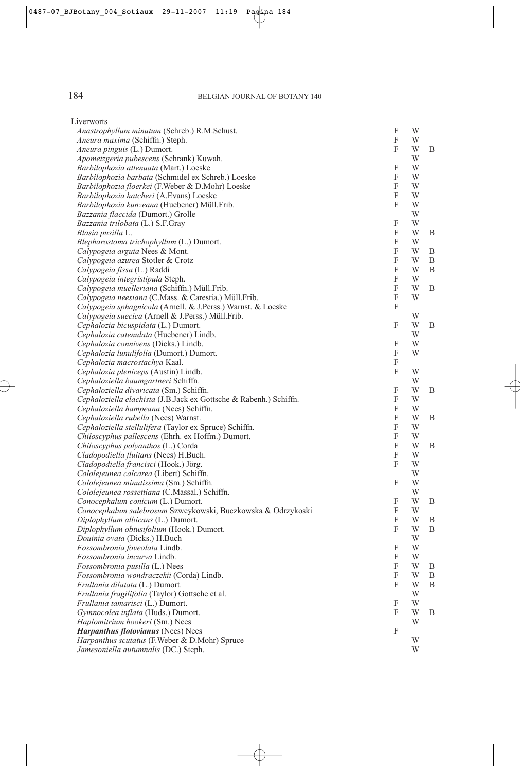| Liverworts                                                                               |           |        |   |
|------------------------------------------------------------------------------------------|-----------|--------|---|
| Anastrophyllum minutum (Schreb.) R.M.Schust.                                             | F         | W      |   |
| Aneura maxima (Schiffn.) Steph.                                                          | F         | W      |   |
| <i>Aneura pinguis</i> (L.) Dumort.                                                       | F         | W      | Β |
| Apometzgeria pubescens (Schrank) Kuwah.                                                  |           | W      |   |
| Barbilophozia attenuata (Mart.) Loeske                                                   | F         | W      |   |
| Barbilophozia barbata (Schmidel ex Schreb.) Loeske                                       | F         | W      |   |
| Barbilophozia floerkei (F.Weber & D.Mohr) Loeske                                         | F         | W      |   |
| Barbilophozia hatcheri (A.Evans) Loeske                                                  | F         | W      |   |
| Barbilophozia kunzeana (Huebener) Müll.Frib.                                             | F         | W      |   |
| Bazzania flaccida (Dumort.) Grolle                                                       |           | W      |   |
| Bazzania trilobata (L.) S.F.Gray                                                         | F<br>F    | W      |   |
| Blasia pusilla L.                                                                        | F         | W<br>W | Β |
| Blepharostoma trichophyllum (L.) Dumort.<br>Calypogeia arguta Nees & Mont.               | F         | W      | Β |
| Calypogeia azurea Stotler & Crotz                                                        | F         | W      | Β |
| Calypogeia fissa (L.) Raddi                                                              | F         | W      | B |
| Calypogeia integristipula Steph.                                                         | F         | W      |   |
| Calypogeia muelleriana (Schiffn.) Müll.Frib.                                             | F         | W      | Β |
| Calypogeia neesiana (C.Mass. & Carestia.) Müll.Frib.                                     | F         | W      |   |
| Calypogeia sphagnicola (Arnell. & J.Perss.) Warnst. & Loeske                             | F         |        |   |
| Calypogeia suecica (Arnell & J.Perss.) Müll.Frib.                                        |           | W      |   |
| Cephalozia bicuspidata (L.) Dumort.                                                      | F         | W      | B |
| Cephalozia catenulata (Huebener) Lindb.                                                  |           | W      |   |
| Cephalozia connivens (Dicks.) Lindb.                                                     | F         | W      |   |
| Cephalozia lunulifolia (Dumort.) Dumort.                                                 | F         | W      |   |
| Cephalozia macrostachya Kaal.                                                            | F         |        |   |
| Cephalozia pleniceps (Austin) Lindb.                                                     | F         | W      |   |
| Cephaloziella baumgartneri Schiffn.                                                      |           | W      |   |
| Cephaloziella divaricata (Sm.) Schiffn.                                                  | F         | W      | В |
| Cephaloziella elachista (J.B.Jack ex Gottsche & Rabenh.) Schiffn.                        | F         | W      |   |
| Cephaloziella hampeana (Nees) Schiffn.                                                   | F         | W      |   |
| Cephaloziella rubella (Nees) Warnst.                                                     | F         | W      | B |
| Cephaloziella stellulifera (Taylor ex Spruce) Schiffn.                                   | F         | W      |   |
| Chiloscyphus pallescens (Ehrh. ex Hoffm.) Dumort.                                        | F         | W      |   |
| Chiloscyphus polyanthos (L.) Corda                                                       | F         | W      | B |
| Cladopodiella fluitans (Nees) H.Buch.                                                    | F         | W      |   |
| Cladopodiella francisci (Hook.) Jörg.                                                    | F         | W      |   |
| Cololejeunea calcarea (Libert) Schiffn.                                                  |           | W      |   |
| Cololejeunea minutissima (Sm.) Schiffn.<br>Cololejeunea rossettiana (C.Massal.) Schiffn. | F         | W<br>W |   |
| Conocephalum conicum (L.) Dumort.                                                        | F         | W      | B |
| Conocephalum salebrosum Szweykowski, Buczkowska & Odrzykoski                             | F         | W      |   |
| Diplophyllum albicans (L.) Dumort.                                                       | F         | W      | B |
| Diplophyllum obtusifolium (Hook.) Dumort.                                                | ${\bf F}$ | W      | B |
| Douinia ovata (Dicks.) H.Buch                                                            |           | W      |   |
| Fossombronia foveolata Lindb.                                                            | F         | W      |   |
| Fossombronia incurva Lindb.                                                              | F         | W      |   |
| Fossombronia pusilla (L.) Nees                                                           | F         | W      | Β |
| Fossombronia wondraczekii (Corda) Lindb.                                                 | F         | W      | B |
| Frullania dilatata (L.) Dumort.                                                          | F         | W      | Β |
| Frullania fragilifolia (Taylor) Gottsche et al.                                          |           | W      |   |
| Frullania tamarisci (L.) Dumort.                                                         | F         | W      |   |
| Gymnocolea inflata (Huds.) Dumort.                                                       | F         | W      | B |
| Haplomitrium hookeri (Sm.) Nees                                                          |           | W      |   |
| Harpanthus flotovianus (Nees) Nees                                                       | F         |        |   |
| Harpanthus scutatus (F. Weber & D. Mohr) Spruce                                          |           | W      |   |
| Jamesoniella autumnalis (DC.) Steph.                                                     |           | W      |   |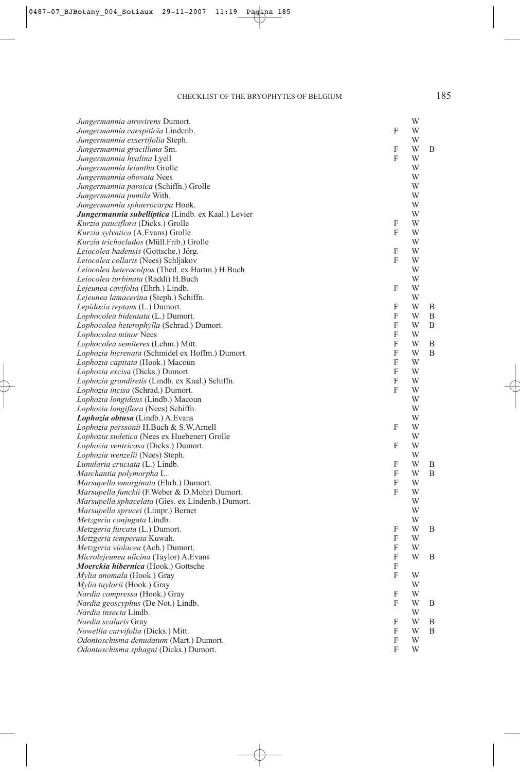| Jungermannia atrovirens Dumort.                    |                           | W |   |
|----------------------------------------------------|---------------------------|---|---|
| Jungermannia caespiticia Lindenb.                  | F                         | W |   |
| Jungermannia exsertifolia Steph.                   |                           | W |   |
| Jungermannia gracillima Sm.                        | F                         | W | В |
| Jungermannia hyalina Lyell                         | F                         | W |   |
| Jungermannia leiantha Grolle                       |                           | W |   |
| Jungermannia obovata Nees                          |                           | W |   |
| Jungermannia paroica (Schiffn.) Grolle             |                           | W |   |
| Jungermannia pumila With.                          |                           | W |   |
| Jungermannia sphaerocarpa Hook.                    |                           | W |   |
| Jungermannia subelliptica (Lindb. ex Kaal.) Levier |                           | W |   |
| <i>Kurzia pauciflora</i> (Dicks.) Grolle           | F                         | W |   |
| Kurzia sylvatica (A.Evans) Grolle                  | F                         | W |   |
| Kurzia trichoclados (Müll.Frib.) Grolle            |                           | W |   |
| Leiocolea badensis (Gottsche.) Jörg.               | F                         | W |   |
| Leiocolea collaris (Nees) Schljakov                | F                         | W |   |
| Leiocolea heterocolpos (Thed. ex Hartm.) H.Buch    |                           | W |   |
| Leiocolea turbinata (Raddi) H.Buch                 |                           | W |   |
| Lejeunea cavifolia (Ehrh.) Lindb.                  | F                         | W |   |
| Lejeunea lamacerina (Steph.) Schiffn.              |                           | W |   |
| Lepidozia reptans (L.) Dumort.                     | F                         | W | В |
| Lophocolea bidentata (L.) Dumort.                  | F                         | W | Β |
| Lophocolea heterophylla (Schrad.) Dumort.          | F                         | W | Β |
| Lophocolea minor Nees                              | F                         | W |   |
| Lophocolea semiteres (Lehm.) Mitt.                 | F                         | W | B |
| Lophozia bicrenata (Schmidel ex Hoffm.) Dumort.    | F                         | W | B |
| Lophozia capitata (Hook.) Macoun                   | F                         | W |   |
| Lophozia excisa (Dicks.) Dumort.                   | $\boldsymbol{\mathrm{F}}$ | W |   |
| Lophozia grandiretis (Lindb. ex Kaal.) Schiffn.    | F                         | W |   |
| Lophozia incisa (Schrad.) Dumort.                  | F                         | W |   |
| Lophozia longidens (Lindb.) Macoun                 |                           | W |   |
| Lophozia longiflora (Nees) Schiffn.                |                           | W |   |
| Lophozia obtusa (Lindb.) A.Evans                   |                           | W |   |
| Lophozia perssonii H.Buch & S.W.Arnell             | F                         | W |   |
|                                                    |                           | W |   |
| Lophozia sudetica (Nees ex Huebener) Grolle        | F                         | W |   |
| Lophozia ventricosa (Dicks.) Dumort.               |                           | W |   |
| Lophozia wenzelii (Nees) Steph.                    |                           |   |   |
| Lunularia cruciata (L.) Lindb.                     | F                         | W | В |
| Marchantia polymorpha L.                           | F                         | W | B |
| Marsupella emarginata (Ehrh.) Dumort.              | F                         | W |   |
| Marsupella funckii (F.Weber & D.Mohr) Dumort.      | F                         | W |   |
| Marsupella sphacelata (Gies. ex Lindenb.) Dumort.  |                           | W |   |
| Marsupella sprucei (Limpr.) Bernet                 |                           | W |   |
| Metzgeria conjugata Lindb.                         |                           | W |   |
| <i>Metzgeria furcata</i> (L.) Dumort.              | F                         | W | B |
| Metzgeria temperata Kuwah.                         | $\boldsymbol{\mathrm{F}}$ | W |   |
| Metzgeria violacea (Ach.) Dumort.                  | F                         | W |   |
| Microlejeunea ulicina (Taylor) A.Evans             | F                         | W | Β |
| Moerckia hibernica (Hook.) Gottsche                | F                         |   |   |
| Mylia anomala (Hook.) Gray                         | F                         | W |   |
| Mylia taylorii (Hook.) Gray                        |                           | W |   |
| Nardia compressa (Hook.) Gray                      | F                         | W |   |
| Nardia geoscyphus (De Not.) Lindb.                 | F                         | W | B |
| <i>Nardia insecta</i> Lindb.                       |                           | W |   |
| Nardia scalaris Gray                               | F                         | W | Β |
| Nowellia curvifolia (Dicks.) Mitt.                 | F                         | W | Β |
| Odontoschisma denudatum (Mart.) Dumort.            | F                         | W |   |
| Odontoschisma sphagni (Dicks.) Dumort.             | F                         | W |   |
|                                                    |                           |   |   |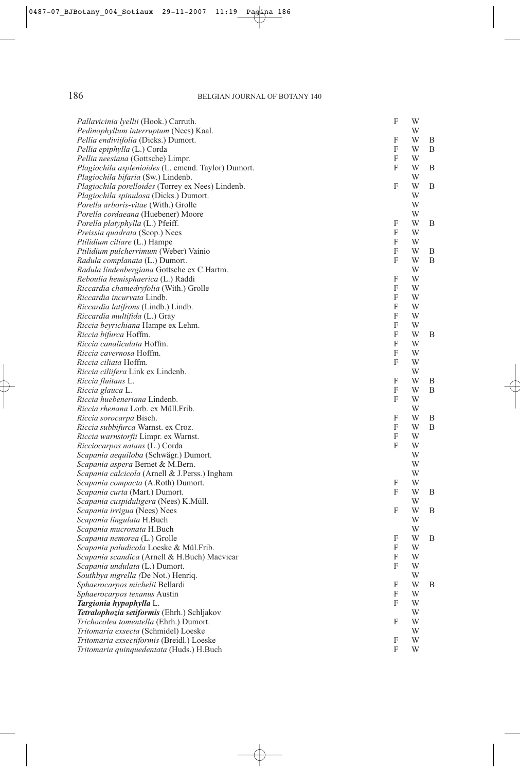| Pallavicinia lyellii (Hook.) Carruth.                   | F                         | W      |        |
|---------------------------------------------------------|---------------------------|--------|--------|
| Pedinophyllum interruptum (Nees) Kaal.                  |                           | W      |        |
| Pellia endiviifolia (Dicks.) Dumort.                    | F                         | W      | B      |
| Pellia epiphylla (L.) Corda                             | F                         | W      | B      |
| Pellia neesiana (Gottsche) Limpr.                       | F                         | W      |        |
| Plagiochila asplenioides (L. emend. Taylor) Dumort.     | F                         | W      | B      |
| Plagiochila bifaria (Sw.) Lindenb.                      |                           | W      |        |
| Plagiochila porelloides (Torrey ex Nees) Lindenb.       | F                         | W      | B      |
| <i>Plagiochila spinulosa</i> (Dicks.) Dumort.           |                           | W      |        |
| Porella arboris-vitae (With.) Grolle                    |                           | W      |        |
| Porella cordaeana (Huebener) Moore                      |                           | W      |        |
| Porella platyphylla (L.) Pfeiff.                        | F                         | W      | B      |
| Preissia quadrata (Scop.) Nees                          | F                         | W      |        |
| Ptilidium ciliare (L.) Hampe                            | F                         | W      |        |
| Ptilidium pulcherrimum (Weber) Vainio                   | F                         | W      | B      |
| Radula complanata (L.) Dumort.                          | F                         | W      | B      |
| Radula lindenbergiana Gottsche ex C.Hartm.              |                           | W      |        |
| Reboulia hemisphaerica (L.) Raddi                       | F                         | W      |        |
| Riccardia chamedryfolia (With.) Grolle                  | F                         | W      |        |
| Riccardia incurvata Lindb.                              | F                         | W      |        |
| Riccardia latifrons (Lindb.) Lindb.                     | F                         | W      |        |
| Riccardia multifida (L.) Gray                           | F                         | W      |        |
| Riccia beyrichiana Hampe ex Lehm.                       | F                         | W      |        |
| Riccia bifurca Hoffm.                                   | F                         | W      | B      |
| Riccia canaliculata Hoffm.                              | F                         | W      |        |
| Riccia cavernosa Hoffm.                                 | F<br>F                    | W      |        |
| <i>Riccia ciliata</i> Hoffm.                            |                           | W<br>W |        |
| Riccia ciliifera Link ex Lindenb.<br>Riccia fluitans L. | F                         | W      |        |
| Riccia glauca L.                                        | F                         | W      | B<br>B |
| Riccia huebeneriana Lindenb.                            | F                         | W      |        |
| Riccia rhenana Lorb. ex Müll.Frib.                      |                           | W      |        |
| Riccia sorocarpa Bisch.                                 | F                         | W      | B      |
| Riccia subbifurca Warnst. ex Croz.                      | F                         | W      | B      |
| Riccia warnstorfii Limpr. ex Warnst.                    | F                         | W      |        |
| <i>Ricciocarpos natans</i> (L.) Corda                   | F                         | W      |        |
| Scapania aequiloba (Schwägr.) Dumort.                   |                           | W      |        |
| Scapania aspera Bernet & M.Bern.                        |                           | W      |        |
| Scapania calcicola (Arnell & J.Perss.) Ingham           |                           | W      |        |
| Scapania compacta (A.Roth) Dumort.                      | F                         | W      |        |
| Scapania curta (Mart.) Dumort.                          | F                         | W      | B      |
| Scapania cuspiduligera (Nees) K.Müll.                   |                           | W      |        |
| Scapania irrigua (Nees) Nees                            | F                         | W      | B      |
| Scapania lingulata H.Buch                               |                           | W      |        |
| Scapania mucronata H.Buch                               |                           | W      |        |
| Scapania nemorea (L.) Grolle                            | $\boldsymbol{\mathrm{F}}$ | W      | B      |
| Scapania paludicola Loeske & Mül.Frib.                  | F                         | W      |        |
| Scapania scandica (Arnell & H.Buch) Macvicar            | F                         | W      |        |
| Scapania undulata (L.) Dumort.                          | F                         | W      |        |
| Southbya nigrella (De Not.) Henriq.                     |                           | W      |        |
| Sphaerocarpos michelii Bellardi                         | F                         | W      | B      |
| Sphaerocarpos texanus Austin                            | F                         | W      |        |
| Targionia hypophylla L.                                 | F                         | W      |        |
| Tetralophozia setiformis (Ehrh.) Schljakov              |                           | W      |        |
| Trichocolea tomentella (Ehrh.) Dumort.                  | F                         | W      |        |
| Tritomaria exsecta (Schmidel) Loeske                    |                           | W      |        |
| Tritomaria exsectiformis (Breidl.) Loeske               | F                         | W      |        |
| Tritomaria quinquedentata (Huds.) H.Buch                | F                         | W      |        |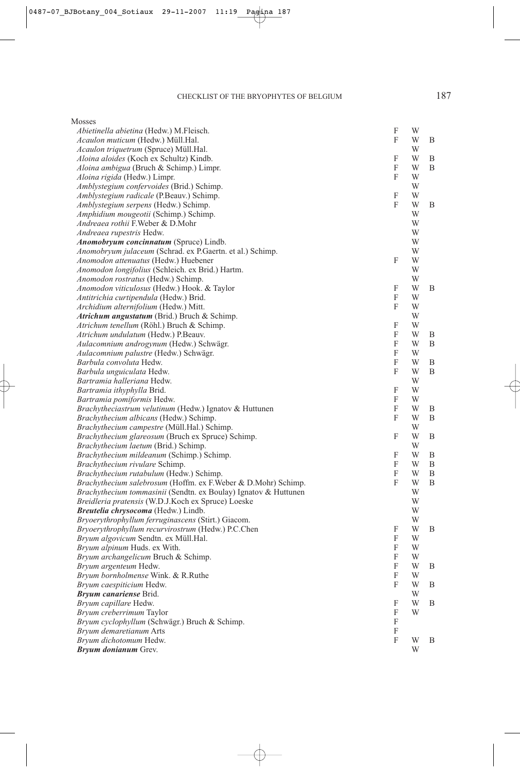| Mosses                                                                           |             |        |   |
|----------------------------------------------------------------------------------|-------------|--------|---|
| Abietinella abietina (Hedw.) M.Fleisch.                                          | F           | W      |   |
| Acaulon muticum (Hedw.) Müll.Hal.                                                | F           | W      | B |
| Acaulon triquetrum (Spruce) Müll.Hal.                                            |             | W      |   |
| Aloina aloides (Koch ex Schultz) Kindb.                                          | F           | W      | В |
| Aloina ambigua (Bruch & Schimp.) Limpr.                                          | F           | W      | Β |
| Aloina rigida (Hedw.) Limpr.                                                     | F           | W      |   |
| Amblystegium confervoides (Brid.) Schimp.                                        |             | W      |   |
| Amblystegium radicale (P.Beauv.) Schimp.                                         | F           | W      |   |
| Amblystegium serpens (Hedw.) Schimp.                                             | F           | W      | B |
| Amphidium mougeotii (Schimp.) Schimp.                                            |             | W      |   |
| Andreaea rothii F. Weber & D. Mohr                                               |             | W      |   |
| Andreaea rupestris Hedw.                                                         |             | W      |   |
| Anomobryum concinnatum (Spruce) Lindb.                                           |             | W      |   |
| Anomobryum julaceum (Schrad. ex P.Gaertn. et al.) Schimp.                        |             | W      |   |
| Anomodon attenuatus (Hedw.) Huebener                                             | F           | W      |   |
| Anomodon longifolius (Schleich. ex Brid.) Hartm.                                 |             | W      |   |
| Anomodon rostratus (Hedw.) Schimp.                                               |             | W      |   |
| Anomodon viticulosus (Hedw.) Hook. & Taylor                                      | F           | W      | В |
| Antitrichia curtipendula (Hedw.) Brid.                                           | F           | W      |   |
| Archidium alternifolium (Hedw.) Mitt.                                            | F           | W      |   |
| Atrichum angustatum (Brid.) Bruch & Schimp.                                      |             | W      |   |
| Atrichum tenellum (Röhl.) Bruch & Schimp.                                        | F           | W      |   |
| Atrichum undulatum (Hedw.) P.Beauv.                                              | F           | W      | В |
| Aulacomnium androgynum (Hedw.) Schwägr.<br>Aulacomnium palustre (Hedw.) Schwägr. | F<br>F      | W<br>W | B |
| Barbula convoluta Hedw.                                                          | F           | W      | Β |
| Barbula unguiculata Hedw.                                                        | F           | W      | Β |
| Bartramia halleriana Hedw.                                                       |             | W      |   |
| Bartramia ithyphylla Brid.                                                       | F           | W      |   |
| Bartramia pomiformis Hedw.                                                       | F           | W      |   |
| Brachytheciastrum velutinum (Hedw.) Ignatov & Huttunen                           | F           | W      | В |
| Brachythecium albicans (Hedw.) Schimp.                                           | F           | W      | Β |
| Brachythecium campestre (Müll.Hal.) Schimp.                                      |             | W      |   |
| Brachythecium glareosum (Bruch ex Spruce) Schimp.                                | F           | W      | B |
| Brachythecium laetum (Brid.) Schimp.                                             |             | W      |   |
| Brachythecium mildeanum (Schimp.) Schimp.                                        | F           | W      | B |
| Brachythecium rivulare Schimp.                                                   | F           | W      | B |
| Brachythecium rutabulum (Hedw.) Schimp.                                          | F           | W      | Β |
| Brachythecium salebrosum (Hoffm. ex F.Weber & D.Mohr) Schimp.                    | F           | W      | B |
| Brachythecium tommasinii (Sendtn. ex Boulay) Ignatov & Huttunen                  |             | W      |   |
| Breidleria pratensis (W.D.J.Koch ex Spruce) Loeske                               |             | W      |   |
| Breutelia chrysocoma (Hedw.) Lindb.                                              |             | W      |   |
| Bryoerythrophyllum ferruginascens (Stirt.) Giacom.                               |             | W      |   |
| Bryoerythrophyllum recurvirostrum (Hedw.) P.C.Chen                               | F           | W      | B |
| Bryum algovicum Sendtn. ex Müll.Hal.                                             | $\mathbf F$ | W      |   |
| Bryum alpinum Huds. ex With.                                                     | F           | W      |   |
| Bryum archangelicum Bruch & Schimp.                                              | F           | W      |   |
| Bryum argenteum Hedw.                                                            | F           | W      | Β |
| Bryum bornholmense Wink. & R.Ruthe                                               | F           | W      |   |
| Bryum caespiticium Hedw.                                                         | F           | W      | Β |
| Bryum canariense Brid.                                                           |             | W      |   |
| Bryum capillare Hedw.                                                            | F           | W      | Β |
| Bryum creberrimum Taylor                                                         | F           | W      |   |
| Bryum cyclophyllum (Schwägr.) Bruch & Schimp.                                    | F           |        |   |
| Bryum demaretianum Arts                                                          | F           |        |   |
| Bryum dichotomum Hedw.                                                           | F           | W      | B |
| Bryum donianum Grev.                                                             |             | W      |   |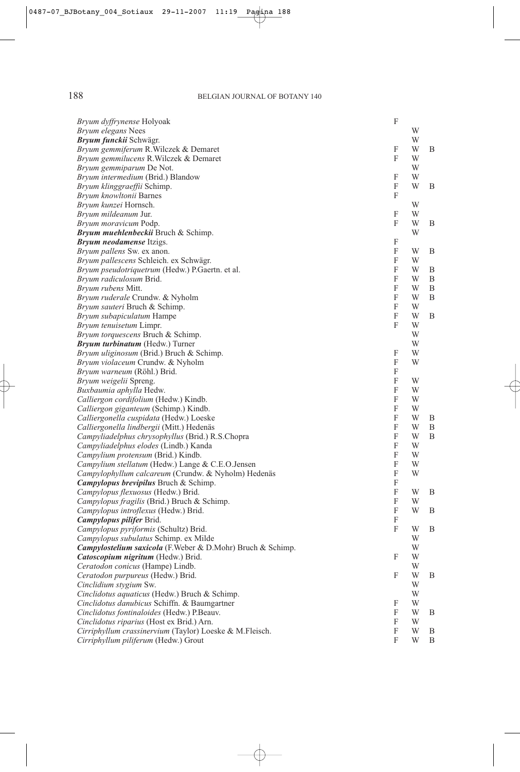| Bryum dyffrynense Holyoak                                  | $\boldsymbol{\mathrm{F}}$ |   |   |
|------------------------------------------------------------|---------------------------|---|---|
| Bryum elegans Nees                                         |                           | W |   |
| Bryum funckii Schwägr.                                     |                           | W |   |
| Bryum gemmiferum R. Wilczek & Demaret                      | F                         | W | B |
| Bryum gemmilucens R. Wilczek & Demaret                     | F                         | W |   |
| Bryum gemmiparum De Not.                                   |                           | W |   |
| Bryum intermedium (Brid.) Blandow                          | F                         | W |   |
| Bryum klinggraeffii Schimp.                                | F                         | W | B |
| Bryum knowltonii Barnes                                    | F                         |   |   |
| Bryum kunzei Hornsch.                                      |                           | W |   |
| Bryum mildeanum Jur.                                       | F                         | W |   |
| Bryum moravicum Podp.                                      | F                         | W | B |
| Bryum muehlenbeckii Bruch & Schimp.                        |                           | W |   |
| <b>Bryum neodamense Itzigs.</b>                            | F                         |   |   |
| Bryum pallens Sw. ex anon.                                 | F                         | W | B |
| Bryum pallescens Schleich. ex Schwägr.                     | F                         | W |   |
| Bryum pseudotriquetrum (Hedw.) P.Gaertn. et al.            | F                         | W | B |
| Bryum radiculosum Brid.                                    | F                         | W | B |
| Bryum rubens Mitt.                                         | F                         | W | B |
| <i>Bryum ruderale</i> Crundw. & Nyholm                     | F                         | W | B |
| Bryum sauteri Bruch & Schimp.                              | F                         | W |   |
| Bryum subapiculatum Hampe                                  | F                         | W | B |
| Bryum tenuisetum Limpr.                                    | F                         | W |   |
| Bryum torquescens Bruch & Schimp.                          |                           | W |   |
| <b>Bryum turbinatum</b> (Hedw.) Turner                     |                           | W |   |
| Bryum uliginosum (Brid.) Bruch & Schimp.                   | F                         | W |   |
| <i>Bryum violaceum</i> Crundw. & Nyholm                    | F                         | W |   |
| <i>Bryum warneum</i> (Röhl.) Brid.                         | F                         |   |   |
| Bryum weigelii Spreng.                                     | F                         | W |   |
| Buxbaumia aphylla Hedw.                                    | F                         | W |   |
| Calliergon cordifolium (Hedw.) Kindb.                      | F                         | W |   |
| Calliergon giganteum (Schimp.) Kindb.                      | F                         | W |   |
| Calliergonella cuspidata (Hedw.) Loeske                    | F                         | W | B |
| Calliergonella lindbergii (Mitt.) Hedenäs                  | F                         | W | B |
| Campyliadelphus chrysophyllus (Brid.) R.S.Chopra           | F                         | W | B |
| Campyliadelphus elodes (Lindb.) Kanda                      | F                         | W |   |
| Campylium protensum (Brid.) Kindb.                         | F                         | W |   |
| Campylium stellatum (Hedw.) Lange & C.E.O.Jensen           | F                         | W |   |
| Campylophyllum calcareum (Crundw. & Nyholm) Hedenäs        | F                         | W |   |
| <b>Campylopus brevipilus Bruch &amp; Schimp.</b>           | F                         |   |   |
| Campylopus flexuosus (Hedw.) Brid.                         | F                         | W | B |
| <i>Campylopus fragilis</i> (Brid.) Bruch & Schimp.         | F                         | W |   |
| Campylopus introflexus (Hedw.) Brid.                       | F                         | W | B |
| Campylopus pilifer Brid.                                   | $\boldsymbol{\mathrm{F}}$ |   |   |
| Campylopus pyriformis (Schultz) Brid.                      | F                         | W | B |
| Campylopus subulatus Schimp. ex Milde                      |                           | W |   |
| Campylostelium saxicola (F.Weber & D.Mohr) Bruch & Schimp. |                           | W |   |
| Catoscopium nigritum (Hedw.) Brid.                         | F                         | W |   |
| Ceratodon conicus (Hampe) Lindb.                           |                           | W |   |
| Ceratodon purpureus (Hedw.) Brid.                          | F                         | W | B |
| Cinclidium stygium Sw.                                     |                           | W |   |
| Cinclidotus aquaticus (Hedw.) Bruch & Schimp.              |                           | W |   |
| Cinclidotus danubicus Schiffn. & Baumgartner               | F                         | W |   |
| Cinclidotus fontinaloides (Hedw.) P.Beauv.                 | F                         | W | B |
| Cinclidotus riparius (Host ex Brid.) Arn.                  | F                         | W |   |
| Cirriphyllum crassinervium (Taylor) Loeske & M.Fleisch.    | F                         | W | B |
| Cirriphyllum piliferum (Hedw.) Grout                       | F                         | W | B |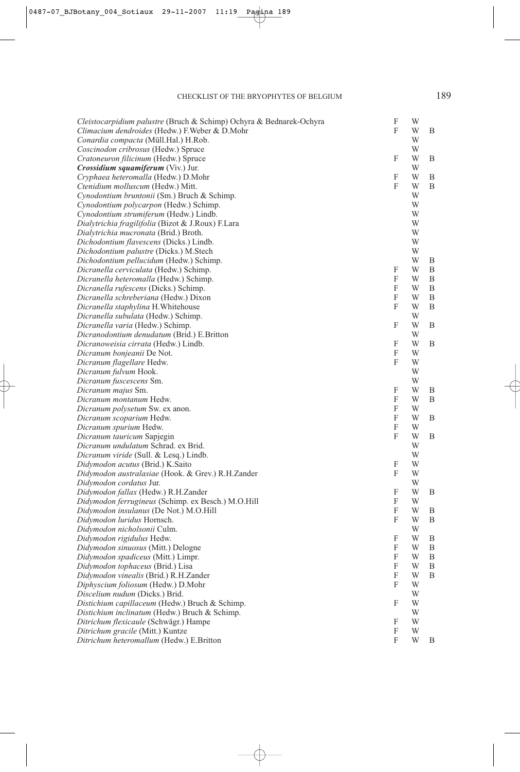| Cleistocarpidium palustre (Bruch & Schimp) Ochyra & Bednarek-Ochyra | F                         | W |   |
|---------------------------------------------------------------------|---------------------------|---|---|
| Climacium dendroides (Hedw.) F. Weber & D. Mohr                     | F                         | W | Β |
| Conardia compacta (Müll.Hal.) H.Rob.                                |                           | W |   |
| Coscinodon cribrosus (Hedw.) Spruce                                 |                           | W |   |
| Cratoneuron filicinum (Hedw.) Spruce                                | F                         | W | Β |
| Crossidium squamiferum (Viv.) Jur.                                  |                           | W |   |
| Cryphaea heteromalla (Hedw.) D.Mohr                                 | F                         | W | Β |
| Ctenidium molluscum (Hedw.) Mitt.                                   | F                         | W | B |
| Cynodontium bruntonii (Sm.) Bruch & Schimp.                         |                           | W |   |
| Cynodontium polycarpon (Hedw.) Schimp.                              |                           | W |   |
| Cynodontium strumiferum (Hedw.) Lindb.                              |                           | W |   |
| Dialytrichia fragilifolia (Bizot & J.Roux) F.Lara                   |                           | W |   |
| Dialytrichia mucronata (Brid.) Broth.                               |                           | W |   |
| Dichodontium flavescens (Dicks.) Lindb.                             |                           | W |   |
| Dichodontium palustre (Dicks.) M.Stech                              |                           | W |   |
| Dichodontium pellucidum (Hedw.) Schimp.                             |                           | W | B |
| Dicranella cerviculata (Hedw.) Schimp.                              | F                         | W | Β |
| Dicranella heteromalla (Hedw.) Schimp.                              | F                         | W | Β |
| Dicranella rufescens (Dicks.) Schimp.                               | F                         | W | Β |
| Dicranella schreberiana (Hedw.) Dixon                               | F                         | W | Β |
| Dicranella staphylina H. Whitehouse                                 | F                         | W | Β |
| Dicranella subulata (Hedw.) Schimp.                                 |                           | W |   |
| Dicranella varia (Hedw.) Schimp.                                    | F                         | W | Β |
| Dicranodontium denudatum (Brid.) E.Britton                          |                           | W |   |
| Dicranoweisia cirrata (Hedw.) Lindb.                                | F                         | W | Β |
| Dicranum bonjeanii De Not.                                          | F                         | W |   |
| Dicranum flagellare Hedw.                                           | F                         | W |   |
| Dicranum fulvum Hook.                                               |                           | W |   |
| Dicranum fuscescens Sm.                                             |                           | W |   |
| Dicranum majus Sm.                                                  | F                         | W | В |
| Dicranum montanum Hedw.                                             | F                         | W | Β |
| Dicranum polysetum Sw. ex anon.                                     | F                         | W |   |
| Dicranum scoparium Hedw.                                            | F                         | W | В |
| Dicranum spurium Hedw.                                              | F                         | W |   |
| Dicranum tauricum Sapjegin                                          | F                         | W | Β |
| Dicranum undulatum Schrad. ex Brid.                                 |                           | W |   |
| Dicranum viride (Sull. & Lesq.) Lindb.                              |                           | W |   |
| Didymodon acutus (Brid.) K.Saito                                    | F                         | W |   |
| Didymodon australasiae (Hook. & Grev.) R.H.Zander                   | F                         | W |   |
| Didymodon cordatus Jur.                                             |                           | W |   |
| Didymodon fallax (Hedw.) R.H.Zander                                 | F                         | W | Β |
| Didymodon ferrugineus (Schimp. ex Besch.) M.O.Hill                  | F                         | W |   |
| Didymodon insulanus (De Not.) M.O.Hill                              | F                         | W | В |
| Didymodon luridus Hornsch.                                          | F                         | W | B |
| <i>Didymodon nicholsonii</i> Culm.                                  |                           | W |   |
| Didymodon rigidulus Hedw.                                           | F                         | W | B |
| Didymodon sinuosus (Mitt.) Delogne                                  | $\boldsymbol{\mathrm{F}}$ | W | Β |
| Didymodon spadiceus (Mitt.) Limpr.                                  | F                         | W | Β |
| Didymodon tophaceus (Brid.) Lisa                                    | F                         | W | Β |
| Didymodon vinealis (Brid.) R.H.Zander                               | F                         | W | B |
| Diphyscium foliosum (Hedw.) D.Mohr                                  | F                         | W |   |
| Discelium nudum (Dicks.) Brid.                                      |                           | W |   |
| Distichium capillaceum (Hedw.) Bruch & Schimp.                      | F                         | W |   |
| Distichium inclinatum (Hedw.) Bruch & Schimp.                       |                           | W |   |
| Ditrichum flexicaule (Schwägr.) Hampe                               | F                         | W |   |
| Ditrichum gracile (Mitt.) Kuntze                                    | F                         | W |   |
| Ditrichum heteromallum (Hedw.) E.Britton                            | F                         | W | В |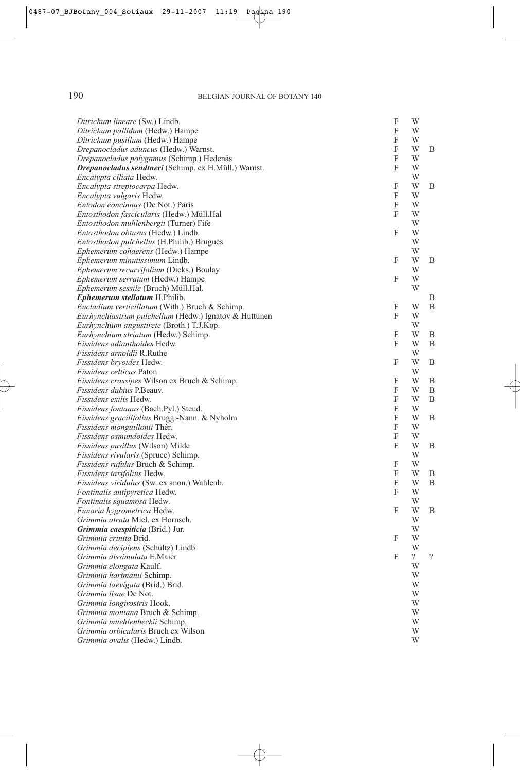| Ditrichum lineare (Sw.) Lindb.                        | F | W              |                          |
|-------------------------------------------------------|---|----------------|--------------------------|
| Ditrichum pallidum (Hedw.) Hampe                      | F | W              |                          |
| Ditrichum pusillum (Hedw.) Hampe                      | F | W              |                          |
| Drepanocladus aduncus (Hedw.) Warnst.                 | F | W              | B                        |
| Drepanocladus polygamus (Schimp.) Hedenäs             | F | W              |                          |
| Drepanocladus sendtneri (Schimp. ex H.Müll.) Warnst.  | F | W              |                          |
| Encalypta ciliata Hedw.                               |   | W              |                          |
| Encalypta streptocarpa Hedw.                          | F | W              | B                        |
| Encalypta vulgaris Hedw.                              | F | W              |                          |
| Entodon concinnus (De Not.) Paris                     | F | W              |                          |
| Entosthodon fascicularis (Hedw.) Müll.Hal             | F | W              |                          |
| Entosthodon muhlenbergii (Turner) Fife                |   | W              |                          |
| Entosthodon obtusus (Hedw.) Lindb.                    | F | W              |                          |
| <i>Entosthodon pulchellus</i> (H.Philib.) Brugués     |   | W              |                          |
| Ephemerum cohaerens (Hedw.) Hampe                     |   | W              |                          |
| Ephemerum minutissimum Lindb.                         | F | W              | B                        |
| <i>Ephemerum recurvifolium</i> (Dicks.) Boulay        |   | W              |                          |
| Ephemerum serratum (Hedw.) Hampe                      | F | W              |                          |
| Ephemerum sessile (Bruch) Müll.Hal.                   |   | W              |                          |
| <i>Ephemerum stellatum H.Philib.</i>                  |   |                | В                        |
| Eucladium verticillatum (With.) Bruch & Schimp.       | F | W              | B                        |
| Eurhynchiastrum pulchellum (Hedw.) Ignatov & Huttunen | F | W              |                          |
| Eurhynchium angustirete (Broth.) T.J.Kop.             |   | W              |                          |
| Eurhynchium striatum (Hedw.) Schimp.                  | F | W              | B                        |
| <i>Fissidens adianthoides Hedw.</i>                   | F | W              | B                        |
| <i>Fissidens arnoldii</i> R.Ruthe                     |   | W              |                          |
| Fissidens bryoides Hedw.                              | F | W              | B                        |
| <i>Fissidens celticus</i> Paton                       |   | W              |                          |
| Fissidens crassipes Wilson ex Bruch & Schimp.         | F | W              | B                        |
| <i>Fissidens dubius</i> P.Beauv.                      | F | W              | B                        |
| <i>Fissidens exilis</i> Hedw.                         | F | W              | B                        |
| Fissidens fontanus (Bach.Pyl.) Steud.                 | F | W              |                          |
| Fissidens gracilifolius Brugg.-Nann. & Nyholm         | F | W              | B                        |
| Fissidens monguillonii Thér.                          | F | W              |                          |
| Fissidens osmundoides Hedw.                           | F | W              |                          |
| Fissidens pusillus (Wilson) Milde                     | F | W              | B                        |
| Fissidens rivularis (Spruce) Schimp.                  |   | W              |                          |
| <i>Fissidens rufulus</i> Bruch & Schimp.              | F | W              |                          |
| <i>Fissidens taxifolius</i> Hedw.                     | F | W              | B                        |
| Fissidens viridulus (Sw. ex anon.) Wahlenb.           | F | W              | B                        |
| Fontinalis antipyretica Hedw.                         | F | W              |                          |
| Fontinalis squamosa Hedw.                             |   | W              |                          |
| Funaria hygrometrica Hedw.                            | F | W              | B                        |
| Grimmia atrata Miel. ex Hornsch.                      |   | W              |                          |
| Grimmia caespiticia (Brid.) Jur.                      |   | W              |                          |
| Grimmia crinita Brid.                                 | F | W              |                          |
| Grimmia decipiens (Schultz) Lindb.                    |   | W              |                          |
| Grimmia dissimulata E.Maier                           | F | $\overline{?}$ | $\overline{\phantom{a}}$ |
| Grimmia elongata Kaulf.                               |   | W              |                          |
| Grimmia hartmanii Schimp.                             |   | W              |                          |
| Grimmia laevigata (Brid.) Brid.                       |   | W              |                          |
| <i>Grimmia lisae</i> De Not.                          |   | W              |                          |
| Grimmia longirostris Hook.                            |   | W              |                          |
| Grimmia montana Bruch & Schimp.                       |   | W              |                          |
| Grimmia muehlenbeckii Schimp.                         |   | W              |                          |
| Grimmia orbicularis Bruch ex Wilson                   |   | W              |                          |
| Grimmia ovalis (Hedw.) Lindb.                         |   | W              |                          |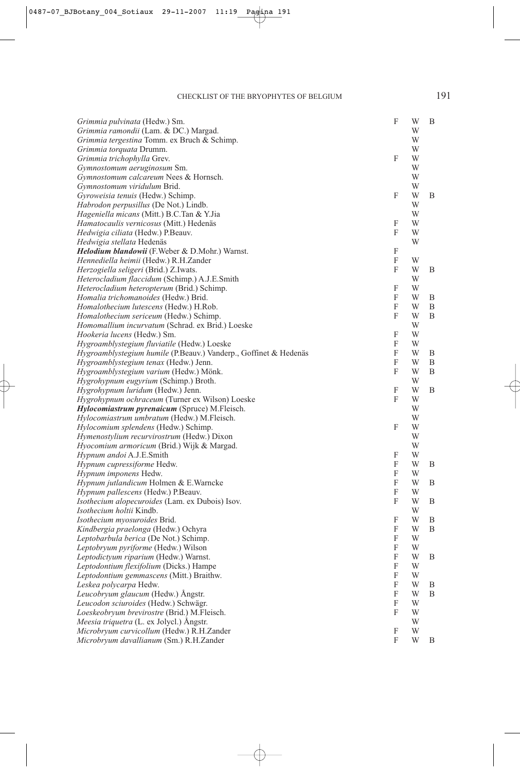| Grimmia pulvinata (Hedw.) Sm.                                                                                   | F                         | W      | B      |
|-----------------------------------------------------------------------------------------------------------------|---------------------------|--------|--------|
| Grimmia ramondii (Lam. & DC.) Margad.                                                                           |                           | W      |        |
| Grimmia tergestina Tomm. ex Bruch & Schimp.                                                                     |                           | W      |        |
| Grimmia torquata Drumm.                                                                                         |                           | W      |        |
| Grimmia trichophylla Grev.                                                                                      | F                         | W      |        |
| Gymnostomum aeruginosum Sm.                                                                                     |                           | W      |        |
| Gymnostomum calcareum Nees & Hornsch.                                                                           |                           | W      |        |
| Gymnostomum viridulum Brid.                                                                                     |                           | W      |        |
| Gyroweisia tenuis (Hedw.) Schimp.                                                                               | F                         | W      | B      |
| <i>Habrodon perpusillus</i> (De Not.) Lindb.                                                                    |                           | W      |        |
| <i>Hageniella micans</i> (Mitt.) B.C.Tan & Y.Jia                                                                |                           | W      |        |
| Hamatocaulis vernicosus (Mitt.) Hedenäs                                                                         | F                         | W      |        |
| <i>Hedwigia ciliata</i> (Hedw.) P.Beauv.                                                                        | F                         | W      |        |
| Hedwigia stellata Hedenäs                                                                                       |                           | W      |        |
| <i>Helodium blandowii</i> (F.Weber & D.Mohr.) Warnst.                                                           | F                         |        |        |
| Hennediella heimii (Hedw.) R.H.Zander                                                                           | F                         | W      |        |
| Herzogiella seligeri (Brid.) Z.Iwats.                                                                           | F                         | W      | B      |
| Heterocladium flaccidum (Schimp.) A.J.E.Smith                                                                   |                           | W      |        |
| Heterocladium heteropterum (Brid.) Schimp.                                                                      | F                         | W      |        |
| Homalia trichomanoides (Hedw.) Brid.                                                                            | F                         | W      | B      |
| <i>Homalothecium lutescens</i> (Hedw.) H.Rob.                                                                   | $\boldsymbol{\mathrm{F}}$ | W      | B      |
| Homalothecium sericeum (Hedw.) Schimp.                                                                          | F                         | W      | B      |
| Homomallium incurvatum (Schrad. ex Brid.) Loeske                                                                |                           | W<br>W |        |
| <i>Hookeria lucens</i> (Hedw.) Sm.                                                                              | F<br>F                    |        |        |
| Hygroamblystegium fluviatile (Hedw.) Loeske<br>Hygroamblystegium humile (P.Beauv.) Vanderp., Goffinet & Hedenäs | F                         | W<br>W |        |
|                                                                                                                 | $\boldsymbol{\mathrm{F}}$ | W      | B<br>B |
| Hygroamblystegium tenax (Hedw.) Jenn.                                                                           | F                         | W      | B      |
| Hygroamblystegium varium (Hedw.) Mönk.<br>Hygrohypnum eugyrium (Schimp.) Broth.                                 |                           | W      |        |
| <i>Hygrohypnum luridum</i> (Hedw.) Jenn.                                                                        | F                         | W      | B      |
| Hygrohypnum ochraceum (Turner ex Wilson) Loeske                                                                 | F                         | W      |        |
| <i>Hylocomiastrum pyrenaicum</i> (Spruce) M.Fleisch.                                                            |                           | W      |        |
| Hylocomiastrum umbratum (Hedw.) M.Fleisch.                                                                      |                           | W      |        |
| <i>Hylocomium splendens</i> (Hedw.) Schimp.                                                                     | F                         | W      |        |
| <i>Hymenostylium recurvirostrum</i> (Hedw.) Dixon                                                               |                           | W      |        |
| <i>Hyocomium armoricum</i> (Brid.) Wijk & Margad.                                                               |                           | W      |        |
| Hypnum andoi A.J.E.Smith                                                                                        | F                         | W      |        |
| Hypnum cupressiforme Hedw.                                                                                      | F                         | W      | B      |
| Hypnum imponens Hedw.                                                                                           | $\boldsymbol{\mathrm{F}}$ | W      |        |
| Hypnum jutlandicum Holmen & E.Warncke                                                                           | F                         | W      | B      |
| Hypnum pallescens (Hedw.) P.Beauv.                                                                              | F                         | W      |        |
| Isothecium alopecuroides (Lam. ex Dubois) Isov.                                                                 | F                         | W      | B      |
| Isothecium holtii Kindb.                                                                                        |                           | W      |        |
| Isothecium myosuroides Brid.                                                                                    | F                         | W      | B      |
| Kindbergia praelonga (Hedw.) Ochyra                                                                             | F                         | W      | B      |
| Leptobarbula berica (De Not.) Schimp.                                                                           | F                         | W      |        |
| Leptobryum pyriforme (Hedw.) Wilson                                                                             | F                         | W      |        |
| Leptodictyum riparium (Hedw.) Warnst.                                                                           | $\boldsymbol{\mathrm{F}}$ | W      | B      |
| Leptodontium flexifolium (Dicks.) Hampe                                                                         | F                         | W      |        |
| Leptodontium gemmascens (Mitt.) Braithw.                                                                        | F                         | W      |        |
| Leskea polycarpa Hedw.                                                                                          | $\boldsymbol{\mathrm{F}}$ | W      | B      |
| Leucobryum glaucum (Hedw.) Ångstr.                                                                              | F                         | W      | B      |
| Leucodon sciuroides (Hedw.) Schwägr.                                                                            | F                         | W      |        |
| Loeskeobryum brevirostre (Brid.) M.Fleisch.                                                                     | F                         | W      |        |
| Meesia triquetra (L. ex Jolycl.) Angstr.                                                                        |                           | W      |        |
| Microbryum curvicollum (Hedw.) R.H.Zander                                                                       | F                         | W      |        |
| Microbryum davallianum (Sm.) R.H.Zander                                                                         | $\boldsymbol{\mathrm{F}}$ | W      | B      |
|                                                                                                                 |                           |        |        |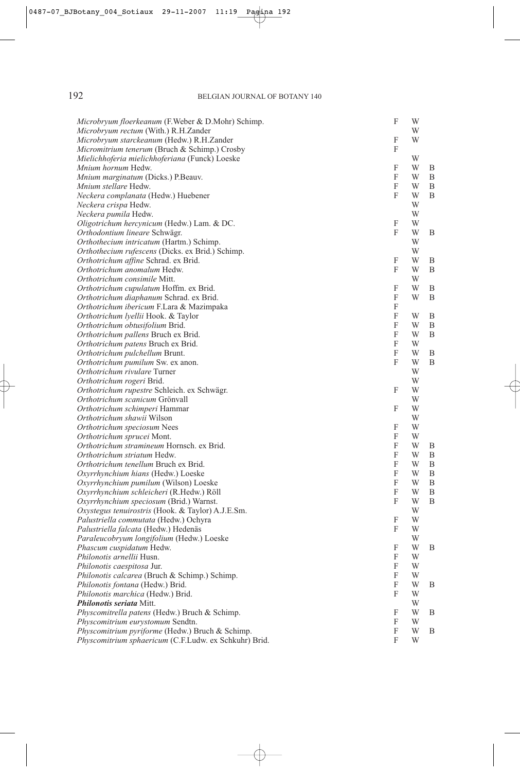# 192 BELGIAN JOURNAL OF BOTANY 140

| Microbryum floerkeanum (F.Weber & D.Mohr) Schimp.           | F            | W      |   |
|-------------------------------------------------------------|--------------|--------|---|
| Microbryum rectum (With.) R.H.Zander                        |              | W      |   |
| Microbryum starckeanum (Hedw.) R.H.Zander                   | F            | W      |   |
| Micromitrium tenerum (Bruch & Schimp.) Crosby               | F            |        |   |
| Mielichhoferia mielichhoferiana (Funck) Loeske              |              | W      |   |
| Mnium hornum Hedw.                                          | F            | W      | B |
| Mnium marginatum (Dicks.) P.Beauv.                          | F            | W      | B |
| Mnium stellare Hedw.                                        | $\mathbf{F}$ | W      | B |
| Neckera complanata (Hedw.) Huebener                         | F            | W      | B |
| Neckera crispa Hedw.                                        |              | W      |   |
| Neckera pumila Hedw.                                        |              | W      |   |
| Oligotrichum hercynicum (Hedw.) Lam. & DC.                  | F            | W      |   |
| Orthodontium lineare Schwägr.                               | F            | W      | B |
| Orthothecium intricatum (Hartm.) Schimp.                    |              | W      |   |
| Orthothecium rufescens (Dicks. ex Brid.) Schimp.            |              | W      |   |
| Orthotrichum affine Schrad. ex Brid.                        | F            | W      | B |
| Orthotrichum anomalum Hedw.                                 | F            | W      | B |
| Orthotrichum consimile Mitt.                                |              | W      |   |
| Orthotrichum cupulatum Hoffm. ex Brid.                      | F            | W      | B |
| Orthotrichum diaphanum Schrad. ex Brid.                     | F            | W      | B |
| Orthotrichum ibericum F.Lara & Mazimpaka                    | F            |        |   |
| Orthotrichum lyellii Hook. & Taylor                         | F            | W      | B |
| Orthotrichum obtusifolium Brid.                             | F            | W      | B |
| Orthotrichum pallens Bruch ex Brid.                         | F            | W      | B |
| Orthotrichum patens Bruch ex Brid.                          | F            | W      |   |
| Orthotrichum pulchellum Brunt.                              | $\mathbf{F}$ | W      | B |
| Orthotrichum pumilum Sw. ex anon.                           | F            | W      | B |
| Orthotrichum rivulare Turner                                |              | W      |   |
| Orthotrichum rogeri Brid.                                   |              | W      |   |
| Orthotrichum rupestre Schleich. ex Schwägr.                 | F            | W      |   |
| Orthotrichum scanicum Grönvall                              | F            | W<br>W |   |
| Orthotrichum schimperi Hammar<br>Orthotrichum shawii Wilson |              | W      |   |
| Orthotrichum speciosum Nees                                 | F            | W      |   |
| Orthotrichum sprucei Mont.                                  | F            | W      |   |
| Orthotrichum stramineum Hornsch. ex Brid.                   | F            | W      | B |
| Orthotrichum striatum Hedw.                                 | F            | W      | B |
| Orthotrichum tenellum Bruch ex Brid.                        | F            | W      | B |
| Oxyrrhynchium hians (Hedw.) Loeske                          | F            | W      | B |
| Oxyrrhynchium pumilum (Wilson) Loeske                       | F            | W      | B |
| Oxyrrhynchium schleicheri (R.Hedw.) Röll                    | F            | W      | B |
| Oxyrrhynchium speciosum (Brid.) Warnst.                     | F            | W      | B |
| Oxystegus tenuirostris (Hook. & Taylor) A.J.E.Sm.           |              | W      |   |
| Palustriella commutata (Hedw.) Ochyra                       | F            | W      |   |
| <i>Palustriella falcata</i> (Hedw.) Hedenäs                 | F            | W      |   |
| Paraleucobryum longifolium (Hedw.) Loeske                   |              | W      |   |
| Phascum cuspidatum Hedw.                                    | F            | W      | B |
| Philonotis arnellii Husn.                                   | F            | W      |   |
| Philonotis caespitosa Jur.                                  | F            | W      |   |
| Philonotis calcarea (Bruch & Schimp.) Schimp.               | F            | W      |   |
| Philonotis fontana (Hedw.) Brid.                            | F            | W      | B |
| Philonotis marchica (Hedw.) Brid.                           | F            | W      |   |
| Philonotis seriata Mitt.                                    |              | W      |   |
| Physcomitrella patens (Hedw.) Bruch & Schimp.               | F            | W      | B |
| Physcomitrium eurystomum Sendtn.                            | F            | W      |   |
| Physcomitrium pyriforme (Hedw.) Bruch & Schimp.             | F            | W      | B |
| Physcomitrium sphaericum (C.F.Ludw. ex Schkuhr) Brid.       | F            | W      |   |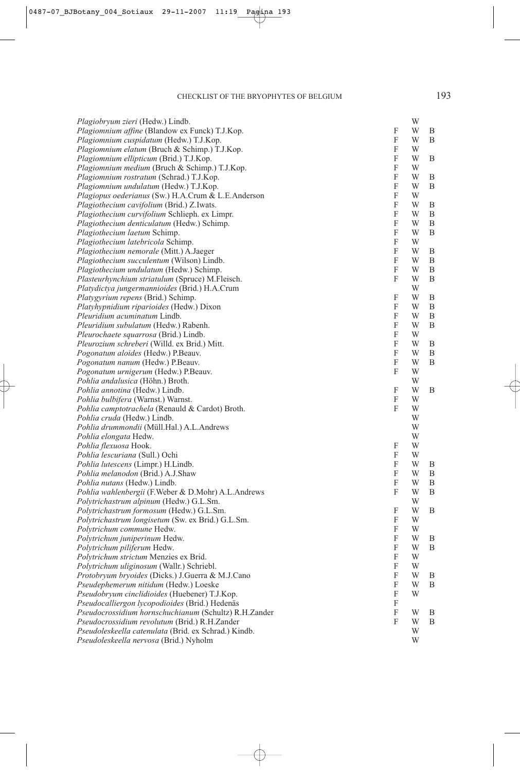| Plagiobryum zieri (Hedw.) Lindb.                          |   | W |   |
|-----------------------------------------------------------|---|---|---|
| Plagiomnium affine (Blandow ex Funck) T.J.Kop.            | F | W | B |
| Plagiomnium cuspidatum (Hedw.) T.J.Kop.                   | F | W | Β |
| Plagiomnium elatum (Bruch & Schimp.) T.J.Kop.             | F | W |   |
| Plagiomnium ellipticum (Brid.) T.J.Kop.                   | F | W | B |
| Plagiomnium medium (Bruch & Schimp.) T.J.Kop.             | F | W |   |
| Plagiomnium rostratum (Schrad.) T.J.Kop.                  | F | W | B |
| Plagiomnium undulatum (Hedw.) T.J.Kop.                    | F | W | B |
| Plagiopus oederianus (Sw.) H.A.Crum & L.E.Anderson        | F | W |   |
| Plagiothecium cavifolium (Brid.) Z.Iwats.                 | F | W | B |
| Plagiothecium curvifolium Schlieph. ex Limpr.             | F | W | B |
| Plagiothecium denticulatum (Hedw.) Schimp.                | F | W | B |
| Plagiothecium laetum Schimp.                              | F | W | B |
| Plagiothecium latebricola Schimp.                         | F | W |   |
| Plagiothecium nemorale (Mitt.) A.Jaeger                   | F | W | B |
| Plagiothecium succulentum (Wilson) Lindb.                 | F | W | B |
| Plagiothecium undulatum (Hedw.) Schimp.                   | F | W | B |
| <i>Plasteurhynchium striatulum</i> (Spruce) M.Fleisch.    | F | W | B |
| Platydictya jungermannioides (Brid.) H.A.Crum             |   | W |   |
| <i>Platygyrium repens</i> (Brid.) Schimp.                 | F | W | B |
| <i>Platyhypnidium riparioides</i> (Hedw.) Dixon           | F | W | B |
| <i>Pleuridium acuminatum Lindb.</i>                       | F | W | B |
| Pleuridium subulatum (Hedw.) Rabenh.                      | F | W | B |
| <i>Pleurochaete squarrosa</i> (Brid.) Lindb.              | F | W |   |
| Pleurozium schreberi (Willd. ex Brid.) Mitt.              | F | W | B |
| Pogonatum aloides (Hedw.) P.Beauv.                        | F | W | Β |
| <i>Pogonatum nanum</i> (Hedw.) P.Beauv.                   | F | W | B |
| Pogonatum urnigerum (Hedw.) P.Beauv.                      | F | W |   |
| Pohlia andalusica (Höhn.) Broth.                          |   | W |   |
| Pohlia annotina (Hedw.) Lindb.                            | F | W | B |
| <i>Pohlia bulbifera</i> (Warnst.) Warnst.                 | F | W |   |
| Pohlia camptotrachela (Renauld & Cardot) Broth.           | F | W |   |
| Pohlia cruda (Hedw.) Lindb.                               |   | W |   |
| Pohlia drummondii (Müll.Hal.) A.L.Andrews                 |   | W |   |
| Pohlia elongata Hedw.                                     |   | W |   |
| Pohlia flexuosa Hook.                                     | F | W |   |
| <i>Pohlia lescuriana</i> (Sull.) Ochi                     | F | W |   |
| <i>Pohlia lutescens</i> (Limpr.) H.Lindb.                 | F | W | B |
| <i>Pohlia melanodon</i> (Brid.) A.J.Shaw                  | F | W | B |
| Pohlia nutans (Hedw.) Lindb.                              | F | W | B |
| <i>Pohlia wahlenbergii</i> (F.Weber & D.Mohr) A.L.Andrews | F | W | B |
| Polytrichastrum alpinum (Hedw.) G.L.Sm.                   |   | W |   |
| Polytrichastrum formosum (Hedw.) G.L.Sm.                  | F | W | Β |
| Polytrichastrum longisetum (Sw. ex Brid.) G.L.Sm.         | F | W |   |
| Polytrichum commune Hedw.                                 | F | W |   |
| Polytrichum juniperinum Hedw.                             | F | W | Β |
| Polytrichum piliferum Hedw.                               | F | W | Β |
| Polytrichum strictum Menzies ex Brid.                     | F | W |   |
| Polytrichum uliginosum (Wallr.) Schriebl.                 | F | W |   |
| Protobryum bryoides (Dicks.) J.Guerra & M.J.Cano          | F | W | B |
| Pseudephemerum nitidum (Hedw.) Loeske                     | F | W | Β |
| Pseudobryum cinclidioides (Huebener) T.J.Kop.             | F | W |   |
| Pseudocalliergon lycopodioides (Brid.) Hedenäs            | F |   |   |
| Pseudocrossidium hornschuchianum (Schultz) R.H.Zander     | F | W | B |
| Pseudocrossidium revolutum (Brid.) R.H.Zander             | F | W | Β |
| Pseudoleskeella catenulata (Brid. ex Schrad.) Kindb.      |   | W |   |
| Pseudoleskeella nervosa (Brid.) Nyholm                    |   | W |   |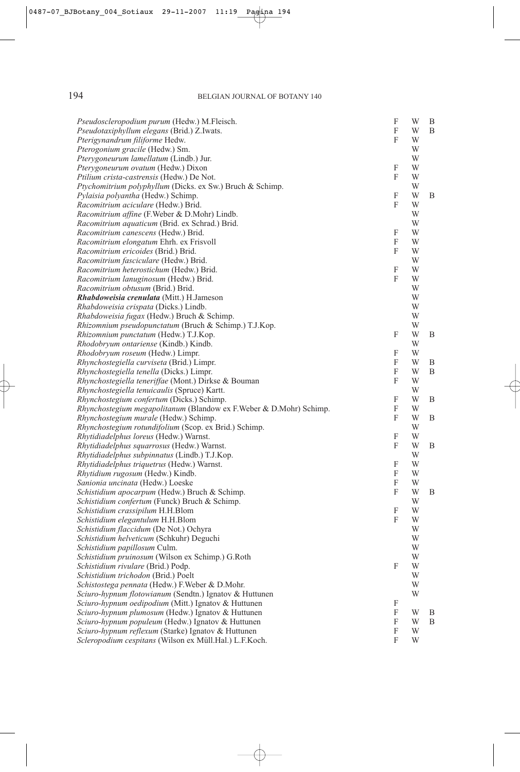| Pseudoscleropodium purum (Hedw.) M.Fleisch.                                                                | F      | W      | B |
|------------------------------------------------------------------------------------------------------------|--------|--------|---|
| Pseudotaxiphyllum elegans (Brid.) Z.Iwats.                                                                 | F      | W      | B |
| Pterigynandrum filiforme Hedw.                                                                             | F      | W      |   |
| Pterogonium gracile (Hedw.) Sm.                                                                            |        | W      |   |
| Pterygoneurum lamellatum (Lindb.) Jur.                                                                     |        | W      |   |
| Pterygoneurum ovatum (Hedw.) Dixon                                                                         | F      | W      |   |
| Ptilium crista-castrensis (Hedw.) De Not.                                                                  | F      | W      |   |
| Ptychomitrium polyphyllum (Dicks. ex Sw.) Bruch & Schimp.                                                  |        | W      |   |
| Pylaisia polyantha (Hedw.) Schimp.                                                                         | F      | W      | B |
| Racomitrium aciculare (Hedw.) Brid.                                                                        | F      | W      |   |
| Racomitrium affine (F.Weber & D.Mohr) Lindb.                                                               |        | W      |   |
| <i>Racomitrium aquaticum</i> (Brid. ex Schrad.) Brid.                                                      |        | W      |   |
| Racomitrium canescens (Hedw.) Brid.                                                                        | F      | W      |   |
| Racomitrium elongatum Ehrh. ex Frisvoll                                                                    | F      | W      |   |
| Racomitrium ericoides (Brid.) Brid.                                                                        | F      | W      |   |
| Racomitrium fasciculare (Hedw.) Brid.                                                                      |        | W      |   |
| Racomitrium heterostichum (Hedw.) Brid.                                                                    | F      | W      |   |
| Racomitrium lanuginosum (Hedw.) Brid.                                                                      | F      | W      |   |
| Racomitrium obtusum (Brid.) Brid.                                                                          |        | W      |   |
| <i>Rhabdoweisia crenulata</i> (Mitt.) H.Jameson                                                            |        | W      |   |
| Rhabdoweisia crispata (Dicks.) Lindb.                                                                      |        | W      |   |
| Rhabdoweisia fugax (Hedw.) Bruch & Schimp.                                                                 |        | W      |   |
| Rhizomnium pseudopunctatum (Bruch & Schimp.) T.J.Kop.                                                      |        | W      |   |
| Rhizomnium punctatum (Hedw.) T.J.Kop.                                                                      | F      | W      | B |
| Rhodobryum ontariense (Kindb.) Kindb.                                                                      |        | W      |   |
| Rhodobryum roseum (Hedw.) Limpr.                                                                           | F      | W      |   |
| Rhynchostegiella curviseta (Brid.) Limpr.                                                                  | F      | W      | B |
| Rhynchostegiella tenella (Dicks.) Limpr.                                                                   | F      | W      | B |
| Rhynchostegiella teneriffae (Mont.) Dirkse & Bouman                                                        | F      | W      |   |
| Rhynchostegiella tenuicaulis (Spruce) Kartt.                                                               |        | W      |   |
| Rhynchostegium confertum (Dicks.) Schimp.                                                                  | F      | W      | B |
| Rhynchostegium megapolitanum (Blandow ex F.Weber & D.Mohr) Schimp.                                         | F      | W      |   |
| Rhynchostegium murale (Hedw.) Schimp.                                                                      | F      | W      | B |
| Rhynchostegium rotundifolium (Scop. ex Brid.) Schimp.                                                      |        | W      |   |
| Rhytidiadelphus loreus (Hedw.) Warnst.                                                                     | F      | W      |   |
| Rhytidiadelphus squarrosus (Hedw.) Warnst.                                                                 | F      | W      | B |
| Rhytidiadelphus subpinnatus (Lindb.) T.J.Kop.                                                              |        | W      |   |
| Rhytidiadelphus triquetrus (Hedw.) Warnst.                                                                 | F      | W      |   |
| Rhytidium rugosum (Hedw.) Kindb.                                                                           | F      | W      |   |
| Sanionia uncinata (Hedw.) Loeske                                                                           | F      | W      |   |
| Schistidium apocarpum (Hedw.) Bruch & Schimp.                                                              | F      | W      | B |
| Schistidium confertum (Funck) Bruch & Schimp.                                                              |        | W      |   |
| Schistidium crassipilum H.H.Blom                                                                           | F<br>F | W<br>W |   |
| Schistidium elegantulum H.H.Blom                                                                           |        | W      |   |
| Schistidium flaccidum (De Not.) Ochyra                                                                     |        |        |   |
| Schistidium helveticum (Schkuhr) Deguchi                                                                   |        | W      |   |
| Schistidium papillosum Culm.                                                                               |        | W      |   |
| Schistidium pruinosum (Wilson ex Schimp.) G.Roth                                                           | F      | W      |   |
| Schistidium rivulare (Brid.) Podp.                                                                         |        | W<br>W |   |
| Schistidium trichodon (Brid.) Poelt                                                                        |        |        |   |
| Schistostega pennata (Hedw.) F. Weber & D. Mohr.<br>Sciuro-hypnum flotowianum (Sendtn.) Ignatov & Huttunen |        | W      |   |
|                                                                                                            |        | W      |   |
| Sciuro-hypnum oedipodium (Mitt.) Ignatov & Huttunen                                                        | F<br>F |        |   |
| Sciuro-hypnum plumosum (Hedw.) Ignatov & Huttunen                                                          |        | W      | B |
| Sciuro-hypnum populeum (Hedw.) Ignatov & Huttunen                                                          | F<br>F | W<br>W | B |
| Sciuro-hypnum reflexum (Starke) Ignatov & Huttunen                                                         |        |        |   |
| Scleropodium cespitans (Wilson ex Müll.Hal.) L.F.Koch.                                                     | F      | W      |   |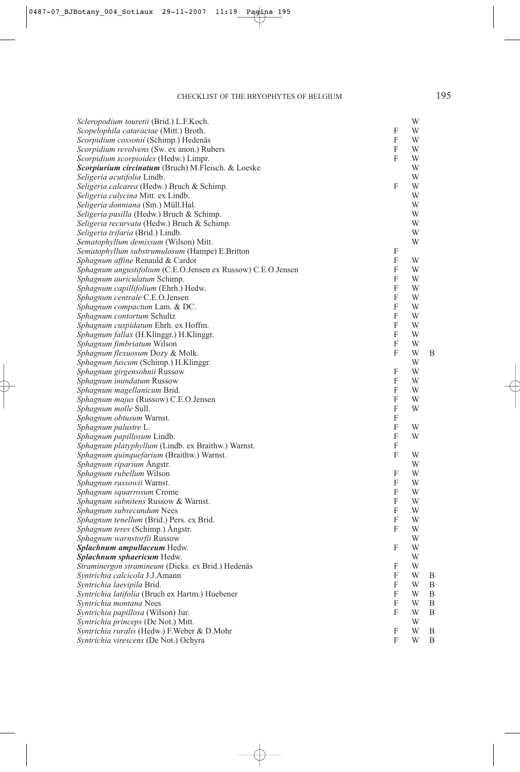| Scleropodium touretii (Brid.) L.F.Koch.                      |   | W |   |
|--------------------------------------------------------------|---|---|---|
| Scopelophila cataractae (Mitt.) Broth.                       | F | W |   |
| Scorpidium cossonii (Schimp.) Hedenäs                        | F | W |   |
| Scorpidium revolvens (Sw. ex anon.) Rubers                   | F | W |   |
| Scorpidium scorpioides (Hedw.) Limpr.                        | F | W |   |
| Scorpiurium circinatum (Bruch) M.Fleisch. & Loeske           |   | W |   |
| Seligeria acutifolia Lindb.                                  |   | W |   |
| Seligeria calcarea (Hedw.) Bruch & Schimp.                   | F | W |   |
| Seligeria calycina Mitt. ex Lindb.                           |   | W |   |
| Seligeria donniana (Sm.) Müll.Hal.                           |   | W |   |
| Seligeria pusilla (Hedw.) Bruch & Schimp.                    |   | W |   |
| Seligeria recurvata (Hedw.) Bruch & Schimp.                  |   | W |   |
| Seligeria trifaria (Brid.) Lindb.                            |   | W |   |
| Sematophyllum demissum (Wilson) Mitt.                        |   | W |   |
| Sematophyllum substrumulosum (Hampe) E.Britton               | F |   |   |
| Sphagnum affine Renauld & Cardot                             | F | W |   |
| Sphagnum angustifolium (C.E.O.Jensen ex Russow) C.E.O.Jensen | F | W |   |
| Sphagnum auriculatum Schimp.                                 | F | W |   |
| Sphagnum capillifolium (Ehrh.) Hedw.                         | F | W |   |
| Sphagnum centrale C.E.O.Jensen                               | F | W |   |
| Sphagnum compactum Lam. & DC.                                | F | W |   |
| Sphagnum contortum Schultz                                   | F | W |   |
| Sphagnum cuspidatum Ehrh. ex Hoffm.                          | F | W |   |
| Sphagnum fallax (H.Klinggr.) H.Klinggr.                      | F | W |   |
| Sphagnum fimbriatum Wilson                                   | F | W |   |
| Sphagnum flexuosum Dozy & Molk.                              | F | W | B |
| Sphagnum fuscum (Schimp.) H.Klinggr.                         |   | W |   |
| Sphagnum girgensohnii Russow                                 | F | W |   |
| Sphagnum inundatum Russow                                    | F | W |   |
| Sphagnum magellanicum Brid.                                  | F | W |   |
| Sphagnum majus (Russow) C.E.O.Jensen                         | F | W |   |
| Sphagnum molle Sull.                                         | F | W |   |
| Sphagnum obtusum Warnst.                                     | F |   |   |
| Sphagnum palustre L.                                         | F | W |   |
| Sphagnum papillosum Lindb.                                   | F | W |   |
| Sphagnum platyphyllum (Lindb. ex Braithw.) Warnst.           | F |   |   |
| Sphagnum quinquefarium (Braithw.) Warnst.                    | F | W |   |
| Sphagnum riparium Angstr.                                    |   | W |   |
| <i>Sphagnum rubellum</i> Wilson                              | F | W |   |
| Sphagnum russowii Warnst.                                    | F | W |   |
| Sphagnum squarrosum Crome                                    | F | W |   |
| Sphagnum subnitens Russow & Warnst.                          | F | W |   |
| Sphagnum subsecundum Nees                                    | F | W |   |
| <i>Sphagnum tenellum</i> (Brid.) Pers. ex Brid.              | F | W |   |
| Sphagnum teres (Schimp.) Ångstr.                             | F | W |   |
| Sphagnum warnstorfii Russow                                  |   | W |   |
| Splachnum ampullaceum Hedw.                                  | F | W |   |
| Splachnum sphaericum Hedw.                                   |   | W |   |
| Straminergon stramineum (Dicks. ex Brid.) Hedenäs            | F | W |   |
| Syntrichia calcicola J.J.Amann                               | F | W | B |
| Syntrichia laevipila Brid.                                   | F | W | B |
| Syntrichia latifolia (Bruch ex Hartm.) Huebener              | F | W | B |
| Syntrichia montana Nees                                      | F | W | B |
| Syntrichia papillosa (Wilson) Jur.                           | F | W | B |
| Syntrichia princeps (De Not.) Mitt.                          |   | W |   |
| Syntrichia ruralis (Hedw.) F. Weber & D. Mohr                | F | W | B |
| Syntrichia virescens (De Not.) Ochyra                        | F | W | B |